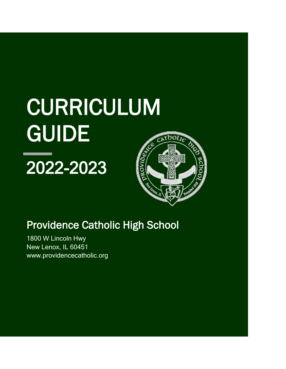# CURRICULUM **GUIDE**

## 2022-2023



### Providence Catholic High School

1800 W Lincoln Hwy New Lenox, IL 60451 www.providencecatholic.org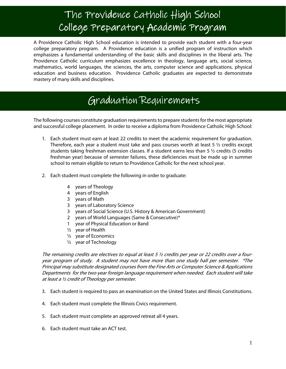### The Providence Catholic High School College Preparatory Academic Program

A Providence Catholic High School education is intended to provide each student with a four-year college preparatory program. A Providence education is a unified program of instruction which emphasizes a fundamental understanding of the basic skills and disciplines in the liberal arts. The Providence Catholic curriculum emphasizes excellence in theology, language arts, social science, mathematics, world languages, the sciences, the arts, computer science and applications, physical education and business education. Providence Catholic graduates are expected to demonstrate mastery of many skills and disciplines.

### Graduation Requirements

The following courses constitute graduation requirements to prepare students for the most appropriate and successful college placement. In order to receive a diploma from Providence Catholic High School:

- 1. Each student must earn at least 22 credits to meet the academic requirement for graduation. Therefore, each year a student must take and pass courses worth at least 5  $\frac{1}{2}$  credits except students taking freshman extension classes. If a student earns less than 5 ½ credits (5 credits freshman year) because of semester failures, these deficiencies must be made up in summer school to remain eligible to return to Providence Catholic for the next school year.
- 2. Each student must complete the following in order to graduate:
	- 4 years of Theology
	- 4 years of English
	- 3 years of Math

Ι

- 3 years of Laboratory Science
- 3 years of Social Science (U.S. History & American Government)
- 2 years of World Languages (Same & Consecutive)\*
- 1 year of Physical Education or Band
- $\frac{1}{2}$  year of Health
- ½ year of Economics
- ½ year of Technology

The remaining credits are electives to equal at least 5 ½ credits per year or 22 credits over a fouryear program of study. A student may not have more than one study hall per semester. \*The Principal may substitute designated courses from the Fine Arts or Computer Science & Applications Departments for the two-year foreign language requirement when needed. Each student will take at least a ½ credit of Theology per semester.

- 3. Each student is required to pass an examination on the United States and Illinois Constitutions.
- 4. Each student must complete the Illinois Civics requirement.
- 5. Each student must complete an approved retreat all 4 years.
- 6. Each student must take an ACT test.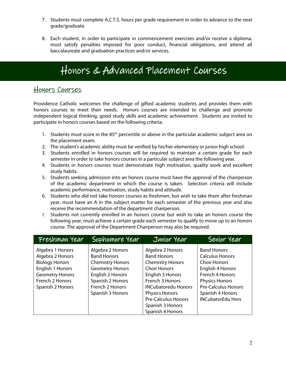- 7. Students must complete A.C.T.S. hours per grade requirement in order to advance to the next grade/graduate.
- 8. Each student, in order to participate in commencement exercises and/or receive a diploma, must satisfy penalties imposed for poor conduct, financial obligations, and attend all baccalaureate and graduation practices and/or services.

### Honors & Advanced Placement Courses

#### Honors Courses

Providence Catholic welcomes the challenge of gifted academic students and provides them with honors courses to meet their needs. Honors courses are intended to challenge and promote independent logical thinking, good study skills and academic achievement. Students are invited to participate in honors courses based on the following criteria:

- 1. Students must score in the 85<sup>th</sup> percentile or above in the particular academic subject area on the placement exam.
- 2. The student's academic ability must be verified by his/her elementary or junior high school.
- 3. Students enrolled in honors courses will be required to maintain a certain grade for each semester in order to take honors courses in a particular subject area the following year.
- 4. Students in honors courses must demonstrate high motivation, quality work and excellent study habits.
- 5. Students seeking admission into an honors course must have the approval of the chairperson of the academic department in which the course is taken. Selection criteria will include academic performance, motivation, study habits and attitude.
- 6. Students who did not take honors courses as freshmen, but wish to take them after freshman year, must have an A in the subject matter for each semester of the previous year and also receive the recommendation of the department chairperson.
- 7. Students not currently enrolled in an honors course but wish to take an honors course the following year, must achieve a certain grade each semester to qualify to move up to an honors course. The approval of the Department Chairperson may also be required.

| Freshman Year                                                                                                                                      | Sophomore Year                                                                                                                                                             | Junior Year                                                                                                                                                                                                                              | Senior Year                                                                                                                                                                                                       |
|----------------------------------------------------------------------------------------------------------------------------------------------------|----------------------------------------------------------------------------------------------------------------------------------------------------------------------------|------------------------------------------------------------------------------------------------------------------------------------------------------------------------------------------------------------------------------------------|-------------------------------------------------------------------------------------------------------------------------------------------------------------------------------------------------------------------|
| Algebra 1 Honors<br>Algebra 2 Honors<br><b>Biology Honors</b><br>English 1 Honors<br><b>Geometry Honors</b><br>French 2 Honors<br>Spanish 2 Honors | Algebra 2 Honors<br><b>Band Honors</b><br><b>Chemistry Honors</b><br><b>Geometry Honors</b><br>English 2 Honors<br>Spanish 2 Honors<br>French 2 Honors<br>Spanish 3 Honors | Algebra 2 Honors<br><b>Band Honors</b><br><b>Chemistry Honors</b><br><b>Choir Honors</b><br>English 3 Honors<br>French 3 Honors<br><b>INCubatoredu Honors</b><br><b>Physics Honors</b><br><b>Pre-Calculus Honors</b><br>Spanish 3 Honors | <b>Band Honors</b><br><b>Calculus Honors</b><br><b>Choir Honors</b><br>English 4 Honors<br>French 4 Honors<br><b>Physics Honors</b><br><b>Pre-Calculus Honors</b><br>Spanish 4 Honors<br><b>INCubatorEdu Hnrs</b> |
|                                                                                                                                                    |                                                                                                                                                                            | Spanish 4 Honors                                                                                                                                                                                                                         |                                                                                                                                                                                                                   |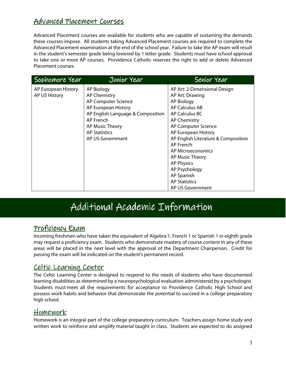#### Advanced Placement Courses

Advanced Placement courses are available for students who are capable of sustaining the demands these courses impose. All students taking Advanced Placement courses are required to complete the Advanced Placement examination at the end of the school year. Failure to take the AP exam will result in the student's semester grade being lowered by 1 letter grade. Students must have school approval to take one or more AP courses. Providence Catholic reserves the right to add or delete Advanced Placement courses.

| Sophomore Year      | Junior Year                       | Senior Year                         |
|---------------------|-----------------------------------|-------------------------------------|
| AP European History | <b>AP Biology</b>                 | AP Art: 2-Dimensional Design        |
| AP US History       | <b>AP Chemistry</b>               | AP Art: Drawing                     |
|                     | AP Computer Science               | AP Biology                          |
|                     | AP European History               | AP Calculus AB                      |
|                     | AP English Language & Composition | AP Calculus BC                      |
|                     | AP French                         | <b>AP Chemistry</b>                 |
|                     | AP Music Theory                   | AP Computer Science                 |
|                     | <b>AP Statistics</b>              | AP European History                 |
|                     | AP US Government                  | AP English Literature & Composition |
|                     |                                   | AP French                           |
|                     |                                   | AP Microeconomics                   |
|                     |                                   | AP Music Theory                     |
|                     |                                   | <b>AP Physics</b>                   |
|                     |                                   | AP Psychology                       |
|                     |                                   | AP Spanish                          |
|                     |                                   | <b>AP Statistics</b>                |
|                     |                                   | AP US Government                    |

### Additional Academic Information

#### <u>Proficiency Exam</u>

Incoming freshmen who have taken the equivalent of Algebra 1, French 1 or Spanish 1 in eighth grade may request a proficiency exam. Students who demonstrate mastery of course content in any of these areas will be placed in the next level with the approval of the Department Chairperson. Credit for passing the exam will be indicated on the student's permanent record.

#### Celtic Learning Center

The Celtic Learning Center is designed to respond to the needs of students who have documented learning disabilities as determined by a neuropsychological evaluation administered by a psychologist. Students must meet all the requirements for acceptance to Providence Catholic High School and possess work habits and behavior that demonstrate the potential to succeed in a college preparatory high school.

#### Homework Homework

Homework is an integral part of the college preparatory curriculum. Teachers assign home study and written work to reinforce and amplify material taught in class. Students are expected to do assigned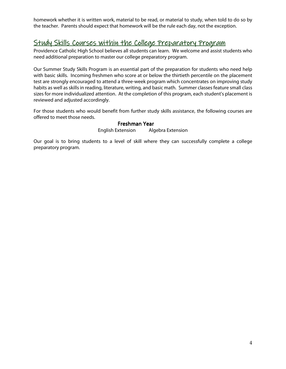homework whether it is written work, material to be read, or material to study, when told to do so by the teacher. Parents should expect that homework will be the rule each day, not the exception.

#### Study Skills Courses within the College Preparatory Program

Providence Catholic High School believes all students can learn. We welcome and assist students who need additional preparation to master our college preparatory program.

Our Summer Study Skills Program is an essential part of the preparation for students who need help with basic skills. Incoming freshmen who score at or below the thirtieth percentile on the placement test are strongly encouraged to attend a three-week program which concentrates on improving study habits as well as skills in reading, literature, writing, and basic math. Summer classes feature small class sizes for more individualized attention. At the completion of this program, each student's placement is reviewed and adjusted accordingly.

For those students who would benefit from further study skills assistance, the following courses are offered to meet those needs.

#### Freshman Year

English Extension Algebra Extension

Our goal is to bring students to a level of skill where they can successfully complete a college preparatory program.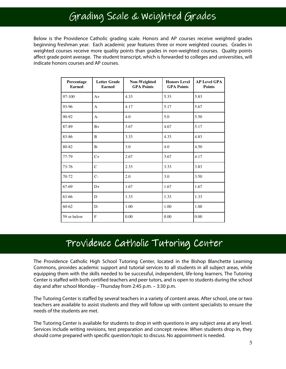### Grading Scale & Weighted Grades

Below is the Providence Catholic grading scale. Honors and AP courses receive weighted grades beginning freshman year. Each academic year features three or more weighted courses. Grades in weighted courses receive more quality points than grades in non-weighted courses. Quality points affect grade point average. The student transcript, which is forwarded to colleges and universities, will indicate honors courses and AP courses.

| Percentage<br><b>Earned</b> | <b>Letter Grade</b><br><b>Earned</b> | Non-Weighted<br><b>GPA Points</b> | <b>Honors Level</b><br><b>GPA Points</b> | <b>AP Level GPA</b><br><b>Points</b> |
|-----------------------------|--------------------------------------|-----------------------------------|------------------------------------------|--------------------------------------|
| 97-100                      | $A+$                                 | 4.33                              | 5.33                                     | 5.83                                 |
| 93-96                       | A                                    | 4.17                              | 5.17                                     | 5.67                                 |
| 90-92                       | $A-$                                 | 4.0                               | 5.0                                      | 5.50                                 |
| 87-89                       | $B+$                                 | 3.67                              | 4.67                                     | 5.17                                 |
| 83-86                       | B                                    | 3.33                              | 4.33                                     | 4.83                                 |
| 80-82                       | $B -$                                | 3.0                               | 4.0                                      | 4.50                                 |
| 77-79                       | $C+$                                 | 2.67                              | 3.67                                     | 4.17                                 |
| 73-76                       | $\mathcal{C}$                        | 2.33                              | 3.33                                     | 3.83                                 |
| 70-72                       | $C-$                                 | 2.0                               | 3.0                                      | 3.50                                 |
| 67-69                       | $D+$                                 | 1.67                              | 1.67                                     | 1.67                                 |
| 63-66                       | D                                    | 1.33                              | 1.33                                     | 1.33                                 |
| 60-62                       | $D-$                                 | 1.00                              | 1.00                                     | 1.00                                 |
| 59 or below                 | F                                    | 0.00                              | 0.00                                     | 0.00                                 |

### Providence Catholic Tutoring Center

The Providence Catholic High School Tutoring Center, located in the Bishop Blanchette Learning Commons, provides academic support and tutorial services to all students in all subject areas, while equipping them with the skills needed to be successful, independent, life-long learners. The Tutoring Center is staffed with both certified teachers and peer tutors, and is open to students during the school day and after school Monday – Thursday from 2:45 p.m. – 3:30 p.m.

The Tutoring Center is staffed by several teachers in a variety of content areas. After school, one or two teachers are available to assist students and they will follow up with content specialists to ensure the needs of the students are met.

The Tutoring Center is available for students to drop in with questions in any subject area at any level. Services include writing revisions, test preparation and concept review. When students drop in, they should come prepared with specific question/topic to discuss. No appointment is needed.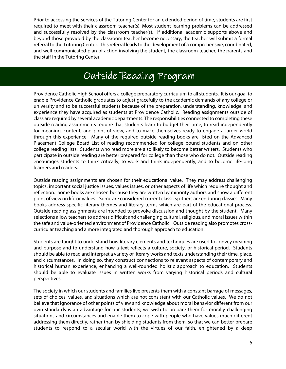Prior to accessing the services of the Tutoring Center for an extended period of time, students are first required to meet with their classroom teacher(s). Most student-learning problems can be addressed and successfully resolved by the classroom teacher(s). If additional academic supports above and beyond those provided by the classroom teacher become necessary, the teacher will submit a formal referral to the Tutoring Center. This referral leads to the development of a comprehensive, coordinated, and well-communicated plan of action involving the student, the classroom teacher, the parents and the staff in the Tutoring Center.

### Outside Reading Program

Providence Catholic High School offers a college preparatory curriculum to all students. It is our goal to enable Providence Catholic graduates to adjust gracefully to the academic demands of any college or university and to be successful students because of the preparation, understanding, knowledge, and experience they have acquired as students at Providence Catholic. Reading assignments outside of class are required by several academic departments. The responsibilities connected to completing these outside reading assignments require that students learn to budget their time, to read independently for meaning, content, and point of view, and to make themselves ready to engage a larger world through this experience. Many of the required outside reading books are listed on the Advanced Placement College Board List of reading recommended for college bound students and on other college reading lists. Students who read more are also likely to become better writers. Students who participate in outside reading are better prepared for college than those who do not. Outside reading encourages students to think critically, to work and think independently, and to become life-long learners and readers.

Outside reading assignments are chosen for their educational value. They may address challenging topics, important social justice issues, values issues, or other aspects of life which require thought and reflection. Some books are chosen because they are written by minority authors and show a different point of view on life or values. Some are considered current classics; others are enduring classics. Many books address specific literary themes and literary terms which are part of the educational process. Outside reading assignments are intended to provoke discussion and thought by the student. Many selections allow teachers to address difficult and challenging cultural, religious, and moral issues within the safe and value-oriented environment of Providence Catholic. Outside reading also promotes crosscurricular teaching and a more integrated and thorough approach to education.

Students are taught to understand how literary elements and techniques are used to convey meaning and purpose and to understand how a text reflects a culture, society, or historical period. Students should be able to read and interpret a variety of literary works and texts understanding their time, place, and circumstances. In doing so, they construct connections to relevant aspects of contemporary and historical human experience, enhancing a well-rounded holistic approach to education. Students should be able to evaluate issues in written works from varying historical periods and cultural perspectives.

The society in which our students and families live presents them with a constant barrage of messages, sets of choices, values, and situations which are not consistent with our Catholic values. We do not believe that ignorance of other points of view and knowledge about moral behavior different from our own standards is an advantage for our students; we wish to prepare them for morally challenging situations and circumstances and enable them to cope with people who have values much different addressing them directly, rather than by shielding students from them, so that we can better prepare students to respond to a secular world with the virtues of our faith, enlightened by a deep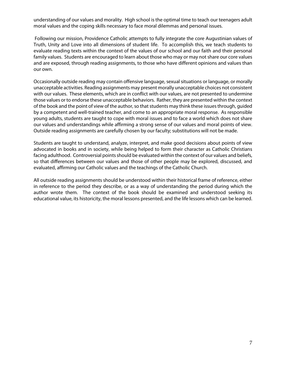understanding of our values and morality. High school is the optimal time to teach our teenagers adult moral values and the coping skills necessary to face moral dilemmas and personal issues.

 Following our mission, Providence Catholic attempts to fully integrate the core Augustinian values of Truth, Unity and Love into all dimensions of student life. To accomplish this, we teach students to evaluate reading texts within the context of the values of our school and our faith and their personal family values. Students are encouraged to learn about those who may or may not share our core values and are exposed, through reading assignments, to those who have different opinions and values than our own.

Occasionally outside reading may contain offensive language, sexual situations or language, or morally unacceptable activities. Reading assignments may present morally unacceptable choices not consistent with our values. These elements, which are in conflict with our values, are not presented to undermine those values or to endorse these unacceptable behaviors. Rather, they are presented within the context of the book and the point of view of the author, so that students may think these issues through, guided by a competent and well-trained teacher, and come to an appropriate moral response. As responsible young adults, students are taught to cope with moral issues and to face a world which does not share our values and understandings while affirming a strong sense of our values and moral points of view. Outside reading assignments are carefully chosen by our faculty; substitutions will not be made.

Students are taught to understand, analyze, interpret, and make good decisions about points of view advocated in books and in society, while being helped to form their character as Catholic Christians facing adulthood. Controversial points should be evaluated within the context of our values and beliefs, so that differences between our values and those of other people may be explored, discussed, and evaluated, affirming our Catholic values and the teachings of the Catholic Church.

All outside reading assignments should be understood within their historical frame of reference, either in reference to the period they describe, or as a way of understanding the period during which the author wrote them. The context of the book should be examined and understood seeking its educational value, its historicity, the moral lessons presented, and the life lessons which can be learned.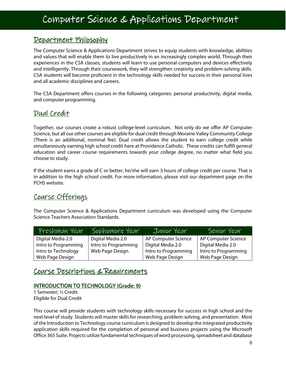#### Department Philosophy

The Computer Science & Applications Department strives to equip students with knowledge, abilities and values that will enable them to live productively in an increasingly complex world. Through their experiences in the CSA classes, students will learn to use personal computers and devices effectively and intelligently. Through their coursework, they will strengthen creativity and problem-solving skills. CSA students will become proficient in the technology skills needed for success in their personal lives and all academic disciplines and careers.

The CSA Department offers courses in the following categories: personal productivity, digital media, and computer programming.

#### Dual Credit

I

Together, our courses create a robust college-level curriculum. Not only do we offer AP Computer Science, but all our other courses are eligible for dual credit through Moraine Valley Community College (There is an additional, nominal fee). Dual credit allows the student to earn college credit while simultaneously earning high school credit here at Providence Catholic. These credits can fulfill general education and career course requirements towards your college degree, no matter what field you choose to study.

If the student earns a grade of C or better, he/she will earn 3 hours of college credit per course. That is in addition to the high school credit. For more information, please visit our department page on the PCHS website.

#### Course Offerings

The Computer Science & Applications Department curriculum was developed using the Computer Science Teachers Association Standards.

| Freshman Year        | Sophomore Year       | Junior Year          | Senior Year          |
|----------------------|----------------------|----------------------|----------------------|
| Digital Media 2.0    | Digital Media 2.0    | AP Computer Science  | AP Computer Science  |
| Intro to Programming | Intro to Programming | Digital Media 2.0    | Digital Media 2.0    |
| Intro to Technology  | Web Page Design      | Intro to Programming | Intro to Programming |
| Web Page Design      |                      | Web Page Design      | Web Page Design      |

#### Course Descriptions & Requirements

#### INTRODUCTION TO TECHNOLOGY (Grade: 9)

1 Semester; ½ Credit Eligible for Dual Credit

This course will provide students with technology skills necessary for success in high school and the next level of study. Students will master skills for researching, problem-solving, and presentation. Most of the Introduction to Technology course curriculum is designed to develop the integrated productivity application skills required for the completion of personal and business projects using the Microsoft Office 365 Suite. Projects utilize fundamental techniques of word processing, spreadsheet and database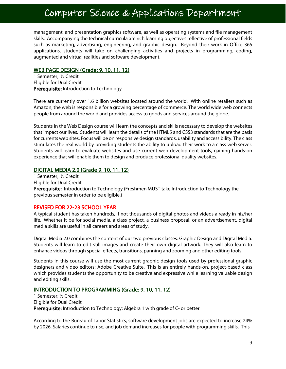### Computer Science & Applications Department

management, and presentation graphics software, as well as operating systems and file management skills. Accompanying the technical curricula are rich learning objectives reflective of professional fields such as marketing, advertising, engineering, and graphic design. Beyond their work in Office 365 applications, students will take on challenging activities and projects in programming, coding, augmented and virtual realities and software development.

#### WEB PAGE DESIGN (Grade: 9, 10, 11, 12)

1 Semester; ½ Credit Eligible for Dual Credit Prerequisite: Introduction to Technology

There are currently over 1.6 billion websites located around the world. With online retailers such as Amazon, the web is responsible for a growing percentage of commerce. The world wide web connects people from around the world and provides access to goods and services around the globe.

Students in the Web Design course will learn the concepts and skills necessary to develop the websites that impact our lives. Students will learn the details of the HTML5 and CSS3 standards that are the basis for currents web sites. Focus will be on responsive design standards, usability and accessibility. The class stimulates the real world by providing students the ability to upload their work to a class web server. Students will learn to evaluate websites and use current web development tools, gaining hands-on experience that will enable them to design and produce professional quality websites.

#### DIGITAL MEDIA 2.0 (Grade 9, 10, 11, 12)

1 Semester; ½ Credit Eligible for Dual Credit Prerequisite: Introduction to Technology (Freshmen MUST take Introduction to Technology the previous semester in order to be eligible.)

#### REVISED FOR 22-23 SCHOOL YEAR

A typical student has taken hundreds, if not thousands of digital photos and videos already in his/her life. Whether it be for social media, a class project, a business proposal, or an advertisement, digital media skills are useful in all careers and areas of study.

Digital Media 2.0 combines the content of our two previous classes: Graphic Design and Digital Media. Students will learn to edit still images and create their own digital artwork. They will also learn to enhance videos through special effects, transitions, panning and zooming and other editing tools.

Students in this course will use the most current graphic design tools used by professional graphic designers and video editors: Adobe Creative Suite. This is an entirely hands-on, project-based class which provides students the opportunity to be creative and expressive while learning valuable design and editing skills.

#### INTRODUCTION TO PROGRAMMING (Grade: 9, 10, 11, 12)

1 Semester; ½ Credit Eligible for Dual Credit Prerequisite: Introduction to Technology; Algebra 1 with grade of C- or better

According to the Bureau of Labor Statistics, software development jobs are expected to increase 24% by 2026. Salaries continue to rise, and job demand increases for people with programming skills. This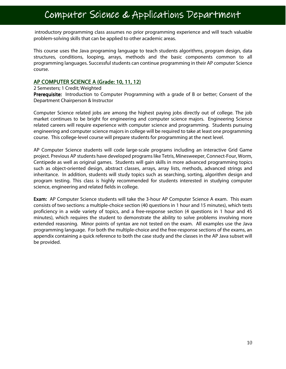### Computer Science & Applications Department

 introductory programming class assumes no prior programming experience and will teach valuable problem-solving skills that can be applied to other academic areas.

This course uses the Java programing language to teach students algorithms, program design, data structures, conditions, looping, arrays, methods and the basic components common to all programming languages. Successful students can continue programming in their AP computer Science course.

#### AP COMPUTER SCIENCE A (Grade: 10, 11, 12)

#### 2 Semesters; 1 Credit; Weighted

Prerequisite: Introduction to Computer Programming with a grade of B or better; Consent of the Department Chairperson & Instructor

Computer Science related jobs are among the highest paying jobs directly out of college. The job market continues to be bright for engineering and computer science majors. Engineering Science related careers will require experience with computer science and programming. Students pursuing engineering and computer science majors in college will be required to take at least one programming course. This college-level course will prepare students for programming at the next level.

AP Computer Science students will code large-scale programs including an interactive Grid Game project. Previous AP students have developed programs like Tetris, Minesweeper, Connect-Four, Worm, Centipede as well as original games. Students will gain skills in more advanced programming topics such as object-oriented design, abstract classes, arrays, array lists, methods, advanced strings and inheritance. In addition, students will study topics such as searching, sorting, algorithm design and program testing. This class is highly recommended for students interested in studying computer science, engineering and related fields in college.

**Exam:** AP Computer Science students will take the 3-hour AP Computer Science A exam. This exam consists of two sections: a multiple-choice section (40 questions in 1 hour and 15 minutes), which tests proficiency in a wide variety of topics, and a free-response section (4 questions in 1 hour and 45 minutes), which requires the student to demonstrate the ability to solve problems involving more extended reasoning. Minor points of syntax are not tested on the exam. All examples use the Java programming language. For both the multiple-choice and the free-response sections of the exams, an appendix containing a quick reference to both the case study and the classes in the AP Java subset will be provided.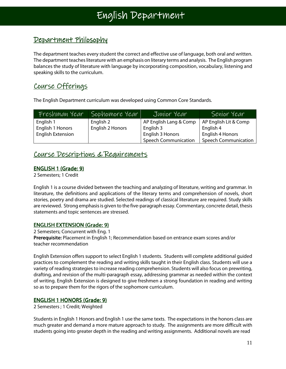٦

#### Department Philosophy

The department teaches every student the correct and effective use of language, both oral and written. The department teaches literature with an emphasis on literary terms and analysis. The English program balances the study of literature with language by incorporating composition, vocabulary, listening and speaking skills to the curriculum.

#### Course Offerings

The English Department curriculum was developed using Common Core Standards.

| Freshman Year            | Sophomore Year   | Junior Year                 | Senior Year                 |
|--------------------------|------------------|-----------------------------|-----------------------------|
| English 1                | English 2        | AP English Lang & Comp      | AP English Lit & Comp       |
| English 1 Honors         | English 2 Honors | English 3                   | English 4                   |
| <b>English Extension</b> |                  | English 3 Honors            | English 4 Honors            |
|                          |                  | <b>Speech Communication</b> | <b>Speech Communication</b> |

#### Course Descriptions & Requirements

#### **ENGLISH 1 (Grade: 9)**

2 Semesters; 1 Credit

English 1 is a course divided between the teaching and analyzing of literature, writing and grammar. In literature, the definitions and applications of the literary terms and comprehension of novels, short stories, poetry and drama are studied. Selected readings of classical literature are required. Study skills are reviewed. Strong emphasis is given to the five-paragraph essay. Commentary, concrete detail, thesis statements and topic sentences are stressed.

#### **ENGLISH EXTENSION (Grade: 9)**

2 Semesters; Concurrent with Eng. 1 Prerequisite: Placement in English 1; Recommendation based on entrance exam scores and/or teacher recommendation

English Extension offers support to select English 1 students. Students will complete additional guided practices to complement the reading and writing skills taught in their English class. Students will use a variety of reading strategies to increase reading comprehension. Students will also focus on prewriting, drafting, and revision of the multi-paragraph essay, addressing grammar as needed within the context of writing. English Extension is designed to give freshmen a strong foundation in reading and writing so as to prepare them for the rigors of the sophomore curriculum.

#### ENGLISH 1 HONORS (Grade: 9)

2 Semesters ; 1 Credit; Weighted

Students in English 1 Honors and English 1 use the same texts. The expectations in the honors class are much greater and demand a more mature approach to study. The assignments are more difficult with students going into greater depth in the reading and writing assignments. Additional novels are read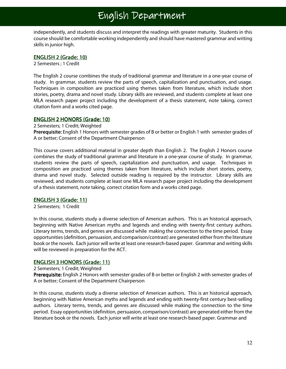### English Department

independently, and students discuss and interpret the readings with greater maturity. Students in this course should be comfortable working independently and should have mastered grammar and writing skills in junior high.

#### ENGLISH 2 (Grade: 10)

2 Semesters ; 1 Credit

The English 2 course combines the study of traditional grammar and literature in a one-year course of study. In grammar, students review the parts of speech, capitalization and punctuation, and usage. Techniques in composition are practiced using themes taken from literature, which include short stories, poetry, drama and novel study. Library skills are reviewed, and students complete at least one MLA research paper project including the development of a thesis statement, note taking, correct citation form and a works cited page.

#### **ENGLISH 2 HONORS (Grade: 10)**

2 Semesters; 1 Credit; Weighted

Prerequisite: English 1 Honors with semester grades of B or better or English 1 with semester grades of A or better; Consent of the Department Chairperson

This course covers additional material in greater depth than English 2. The English 2 Honors course combines the study of traditional grammar and literature in a one-year course of study. In grammar, students review the parts of speech, capitalization and punctuation, and usage. Techniques in composition are practiced using themes taken from literature, which include short stories, poetry, drama and novel study. Selected outside reading is required by the instructor. Library skills are reviewed, and students complete at least one MLA research paper project including the development of a thesis statement, note taking, correct citation form and a works cited page.

#### **ENGLISH 3 (Grade: 11)**

2 Semesters; 1 Credit

In this course, students study a diverse selection of American authors. This is an historical approach, beginning with Native American myths and legends and ending with twenty-first century authors. Literary terms, trends, and genres are discussed while making the connection to the time period. Essay opportunities (definition, persuasion, and comparison/contrast) are generated either from the literature book or the novels. Each junior will write at least one research-based paper. Grammar and writing skills will be reviewed in preparation for the ACT.

#### **ENGLISH 3 HONORS (Grade: 11)**

2 Semesters; 1 Credit; Weighted

Prerequisite: English 2 Honors with semester grades of B or better or English 2 with semester grades of A or better; Consent of the Department Chairperson

In this course, students study a diverse selection of American authors. This is an historical approach, beginning with Native American myths and legends and ending with twenty-first century best-selling authors. Literary terms, trends, and genres are discussed while making the connection to the time period. Essay opportunities (definition, persuasion, comparison/contrast) are generated either from the literature book or the novels. Each junior will write at least one research-based paper. Grammar and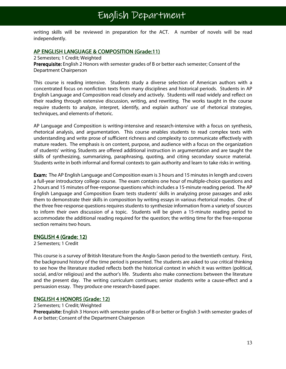writing skills will be reviewed in preparation for the ACT. A number of novels will be read independently.

#### AP ENGLISH LANGUAGE & COMPOSITION (Grade:11)

2 Semesters; 1 Credit; Weighted

Prerequisite: English 2 Honors with semester grades of B or better each semester; Consent of the Department Chairperson

This course is reading intensive. Students study a diverse selection of American authors with a concentrated focus on nonfiction texts from many disciplines and historical periods. Students in AP English Language and Composition read closely and actively. Students will read widely and reflect on their reading through extensive discussion, writing, and rewriting. The works taught in the course require students to analyze, interpret, identify, and explain authors' use of rhetorical strategies, techniques, and elements of rhetoric.

AP Language and Composition is writing-intensive and research-intensive with a focus on synthesis, rhetorical analysis, and argumentation. This course enables students to read complex texts with understanding and write prose of sufficient richness and complexity to communicate effectively with mature readers. The emphasis is on content, purpose, and audience with a focus on the organization of students' writing. Students are offered additional instruction in argumentation and are taught the skills of synthesizing, summarizing, paraphrasing, quoting, and citing secondary source material. Students write in both informal and formal contexts to gain authority and learn to take risks in writing.

Exam: The AP English Language and Composition exam is 3 hours and 15 minutes in length and covers a full-year introductory college course. The exam contains one hour of multiple-choice questions and 2 hours and 15 minutes of free-response questions which includes a 15-minute reading period. The AP English Language and Composition Exam tests students' skills in analyzing prose passages and asks them to demonstrate their skills in composition by writing essays in various rhetorical modes. One of the three free-response questions requires students to synthesize information from a variety of sources to inform their own discussion of a topic. Students will be given a 15-minute reading period to accommodate the additional reading required for the question; the writing time for the free-response section remains two hours.

#### ENGLISH 4 (Grade: 12)

2 Semesters; 1 Credit

This course is a survey of British literature from the Anglo-Saxon period to the twentieth century. First, the background history of the time period is presented. The students are asked to use critical thinking to see how the literature studied reflects both the historical context in which it was written (political, social, and/or religious) and the author's life. Students also make connections between the literature and the present day. The writing curriculum continues; senior students write a cause-effect and a persuasion essay. They produce one research-based paper.

#### **ENGLISH 4 HONORS (Grade: 12)**

2 Semesters; 1 Credit; Weighted

Prerequisite: English 3 Honors with semester grades of B or better or English 3 with semester grades of A or better; Consent of the Department Chairperson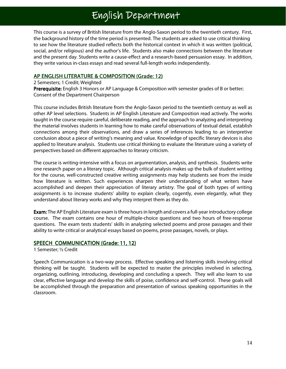### English Department

This course is a survey of British literature from the Anglo-Saxon period to the twentieth century. First, the background history of the time period is presented. The students are asked to use critical thinking to see how the literature studied reflects both the historical context in which it was written (political, social, and/or religious) and the author's life. Students also make connections between the literature and the present day. Students write a cause-effect and a research-based persuasion essay. In addition, they write various in-class essays and read several full-length works independently.

#### AP ENGLISH LITERATURE & COMPOSITION (Grade: 12)

2 Semesters; 1 Credit; Weighted Prerequisite: English 3 Honors or AP Language & Composition with semester grades of B or better; Consent of the Department Chairperson

This course includes British literature from the Anglo-Saxon period to the twentieth century as well as other AP level selections. Students in AP English Literature and Composition read actively. The works taught in the course require careful, deliberate reading, and the approach to analyzing and interpreting the material involves students in learning how to make careful observations of textual detail, establish connections among their observations, and draw a series of inferences leading to an interpretive conclusion about a piece of writing's meaning and value. Knowledge of specific literary devices is also applied to literature analysis. Students use critical thinking to evaluate the literature using a variety of perspectives based on different approaches to literary criticism.

The course is writing-intensive with a focus on argumentation, analysis, and synthesis. Students write one research paper on a literary topic. Although critical analysis makes up the bulk of student writing for the course, well-constructed creative writing assignments may help students see from the inside how literature is written. Such experiences sharpen their understanding of what writers have accomplished and deepen their appreciation of literary artistry. The goal of both types of writing assignments is to increase students' ability to explain clearly, cogently, even elegantly, what they understand about literary works and why they interpret them as they do.

Exam: The AP English Literature exam is three hours in length and covers a full-year introductory college course. The exam contains one hour of multiple-choice questions and two hours of free-response questions. The exam tests students' skills in analyzing selected poems and prose passages and their ability to write critical or analytical essays based on poems, prose passages, novels, or plays.

#### SPEECH COMMUNICATION (Grade: 11, 12)

1 Semester; ½ Credit

Speech Communication is a two-way process. Effective speaking and listening skills involving critical thinking will be taught. Students will be expected to master the principles involved in selecting, organizing, outlining, introducing, developing and concluding a speech. They will also learn to use clear, effective language and develop the skills of poise, confidence and self-control. These goals will be accomplished through the preparation and presentation of various speaking opportunities in the classroom.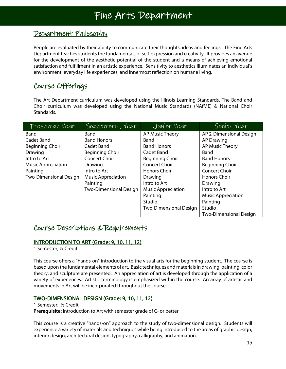#### Department Philosophy

People are evaluated by their ability to communicate their thoughts, ideas and feelings. The Fine Arts Department teaches students the fundamentals of self-expression and creativity. It provides an avenue for the development of the aesthetic potential of the student and a means of achieving emotional satisfaction and fulfillment in an artistic experience. Sensitivity to aesthetics illuminates an individual's environment, everyday life experiences, and innermost reflection on humane living.

#### Course Offerings

The Art Department curriculum was developed using the Illinois Learning Standards. The Band and Choir curriculum was developed using the National Music Standards (NAfME) & National Choir Standards.

| Freshman Year                 | Sophomore, Year               | Junior Year                   | Senior Year                   |
|-------------------------------|-------------------------------|-------------------------------|-------------------------------|
| Band                          | <b>Band</b>                   | AP Music Theory               | AP 2-Dimensional Design       |
| Cadet Band                    | <b>Band Honors</b>            | Band                          | <b>AP Drawing</b>             |
| <b>Beginning Choir</b>        | Cadet Band                    | <b>Band Honors</b>            | AP Music Theory               |
| Drawing                       | <b>Beginning Choir</b>        | Cadet Band                    | Band                          |
| Intro to Art                  | <b>Concert Choir</b>          | <b>Beginning Choir</b>        | <b>Band Honors</b>            |
| <b>Music Appreciation</b>     | Drawing                       | <b>Concert Choir</b>          | <b>Beginning Choir</b>        |
| Painting                      | Intro to Art                  | <b>Honors Choir</b>           | <b>Concert Choir</b>          |
| <b>Two-Dimensional Design</b> | <b>Music Appreciation</b>     | Drawing                       | <b>Honors Choir</b>           |
|                               | Painting                      | Intro to Art                  | Drawing                       |
|                               | <b>Two-Dimensional Design</b> | <b>Music Appreciation</b>     | Intro to Art                  |
|                               |                               | Painting                      | <b>Music Appreciation</b>     |
|                               |                               | Studio                        | Painting                      |
|                               |                               | <b>Two-Dimensional Design</b> | Studio                        |
|                               |                               |                               | <b>Two-Dimensional Design</b> |

#### Course Descriptions & Requirements

#### **INTRODUCTION TO ART (Grade: 9, 10, 11, 12)**

1 Semester; ½ Credit

This course offers a "hands-on" introduction to the visual arts for the beginning student. The course is based upon the fundamental elements of art. Basic techniques and materials in drawing, painting, color theory, and sculpture are presented. An appreciation of art is developed through the application of a variety of experiences. Artistic terminology is emphasized within the course. An array of artistic and movements in Art will be incorporated throughout the course.

#### TWO-DIMENSIONAL DESIGN (Grade: 9, 10, 11, 12)

#### 1 Semester; ½ Credit

**Prerequisite:** Introduction to Art with semester grade of C- or better

This course is a creative "hands-on" approach to the study of two-dimensional design. Students will experience a variety of materials and techniques while being introduced to the areas of graphic design, interior design, architectural design, typography, calligraphy, and animation.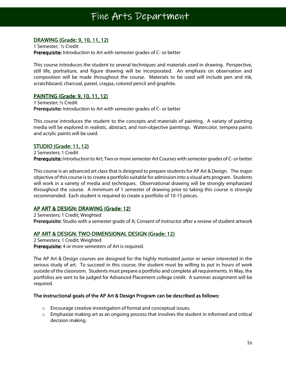Ξ

#### DRAWING (Grade: 9, 10, 11, 12)

l

1 Semester; ½ Credit Prerequisite: Introduction to Art with semester grades of C- or better

This course introduces the student to several techniques and materials used in drawing. Perspective, still life, portraiture, and figure drawing will be incorporated. An emphasis on observation and composition will be made throughout the course. Materials to be used will include pen and ink, scratchboard, charcoal, pastel, craypa, colored pencil and graphite.

#### PAINTING (Grade: 9, 10, 11, 12)

1 Semester; ½ Credit Prerequisite: Introduction to Art with semester grades of C- or better

This course introduces the student to the concepts and materials of painting. A variety of painting media will be explored in realistic, abstract, and non-objective paintings. Watercolor, tempera paints and acrylic paints will be used.

#### **STUDIO (Grade: 11, 12)**

2 Semesters; 1 Credit Prerequisite: Introduction to Art; Two or more semester Art Courses with semester grades of C- or better

This course is an advanced art class that is designed to prepare students for AP Art & Design. The major objective of this course is to create a portfolio suitable for admission into a visual arts program. Students will work in a variety of media and techniques. Observational drawing will be strongly emphasized throughout the course. A minimum of 1 semester of drawing prior to taking this course is strongly recommended. Each student is required to create a portfolio of 10-15 pieces.

#### AP ART & DESIGN: DRAWING (Grade: 12)

2 Semesters; 1 Credit; Weighted Prerequisite: Studio with a semester grade of A; Consent of instructor after a review of student artwork

#### AP ART & DESIGN: TWO-DIMENSIONAL DESIGN (Grade: 12)

2 Semesters; 1 Credit; Weighted Prerequisite: 4 or more semesters of Art is required.

The AP Art & Design courses are designed for the highly motivated junior or senior interested in the serious study of art. To succeed in this course, the student must be willing to put in hours of work outside of the classroom. Students must prepare a portfolio and complete all requirements. In May, the portfolios are sent to be judged for Advanced Placement college credit. A summer assignment will be required.

#### The instructional goals of the AP Art & Design Program can be described as follows:

- o Encourage creative investigation of formal and conceptual issues.
- $\circ$  Emphasize making art as an ongoing process that involves the student in informed and critical decision making.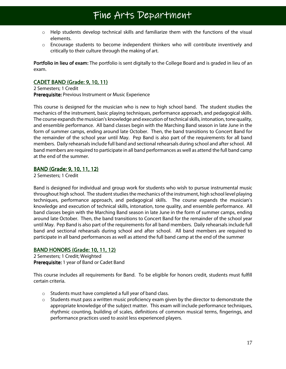- o Help students develop technical skills and familiarize them with the functions of the visual elements.
- $\circ$  Encourage students to become independent thinkers who will contribute inventively and critically to their culture through the making of art.

Portfolio in lieu of exam: The portfolio is sent digitally to the College Board and is graded in lieu of an exam.

#### CADET BAND (Grade: 9, 10, 11)

2 Semesters; 1 Credit Prerequisite: Previous Instrument or Music Experience

This course is designed for the musician who is new to high school band. The student studies the mechanics of the instrument, basic playing techniques, performance approach, and pedagogical skills. The course expands the musician's knowledge and execution of technical skills, intonation, tone quality, and ensemble performance. All band classes begin with the Marching Band season in late June in the form of summer camps, ending around late October. Then, the band transitions to Concert Band for the remainder of the school year until May. Pep Band is also part of the requirements for all band members. Daily rehearsals include full band and sectional rehearsals during school and after school. All band members are required to participate in all band performances as well as attend the full band camp at the end of the summer.

#### BAND (Grade: 9, 10, 11, 12)

2 Semesters; 1 Credit

Band is designed for individual and group work for students who wish to pursue instrumental music throughout high school. The student studies the mechanics of the instrument, high school level playing techniques, performance approach, and pedagogical skills. The course expands the musician's knowledge and execution of technical skills, intonation, tone quality, and ensemble performance. All band classes begin with the Marching Band season in late June in the form of summer camps, ending around late October. Then, the band transitions to Concert Band for the remainder of the school year until May. Pep Band is also part of the requirements for all band members. Daily rehearsals include full band and sectional rehearsals during school and after school. All band members are required to participate in all band performances as well as attend the full band camp at the end of the summer

#### **BAND HONORS (Grade: 10, 11, 12)**

2 Semesters; 1 Credit; Weighted Prerequisite: 1 year of Band or Cadet Band

This course includes all requirements for Band. To be eligible for honors credit, students must fulfill certain criteria.

- o Students must have completed a full year of band class.
- $\circ$  Students must pass a written music proficiency exam given by the director to demonstrate the appropriate knowledge of the subject matter. This exam will include performance techniques, rhythmic counting, building of scales, definitions of common musical terms, fingerings, and performance practices used to assist less experienced players.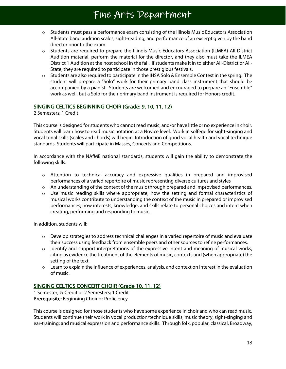- o Students must pass a performance exam consisting of the Illinois Music Educators Association All-State band audition scales, sight-reading, and performance of an excerpt given by the band director prior to the exam.
- o Students are required to prepare the Illinois Music Educators Association (ILMEA) All-District Audition material, perform the material for the director, and they also must take the ILMEA District 1 Audition at the host school in the fall. If students make it in to either All-District or All-State, they are required to participate in those prestigious festivals.
- $\circ$  Students are also required to participate in the IHSA Solo & Ensemble Contest in the spring. The student will prepare a "Solo" work for their primary band class instrument that should be accompanied by a pianist. Students are welcomed and encouraged to prepare an "Ensemble" work as well, but a Solo for their primary band instrument is required for Honors credit.

#### SINGING CELTICS BEGINNING CHOIR (Grade: 9, 10, 11, 12)

2 Semesters; 1 Credit

This course is designed for students who cannot read music, and/or have little or no experience in choir. Students will learn how to read music notation at a Novice level. Work in solfege for sight-singing and vocal tonal skills (scales and chords) will begin. Introduction of good vocal health and vocal technique standards. Students will participate in Masses, Concerts and Competitions.

In accordance with the NAfME national standards, students will gain the ability to demonstrate the following skills:

- $\circ$  Attention to technical accuracy and expressive qualities in prepared and improvised performances of a varied repertoire of music representing diverse cultures and styles
- o An understanding of the context of the music through prepared and improvised performances.
- $\circ$  Use music reading skills where appropriate, how the setting and formal characteristics of musical works contribute to understanding the context of the music in prepared or improvised performances; how interests, knowledge, and skills relate to personal choices and intent when creating, performing and responding to music.

In addition, students will:

- $\circ$  Develop strategies to address technical challenges in a varied repertoire of music and evaluate their success using feedback from ensemble peers and other sources to refine performances.
- $\circ$  Identify and support interpretations of the expressive intent and meaning of musical works, citing as evidence the treatment of the elements of music, contexts and (when appropriate) the setting of the text.
- $\circ$  Learn to explain the influence of experiences, analysis, and context on interest in the evaluation of music.

#### SINGING CELTICS CONCERT CHOIR (Grade 10, 11, 12)

1 Semester; ½ Credit or 2 Semesters; 1 Credit **Prerequisite:** Beginning Choir or Proficiency

This course is designed for those students who have some experience in choir and who can read music. Students will continue their work in vocal production/technique skills; music theory, sight-singing and ear-training; and musical expression and performance skills. Through folk, popular, classical, Broadway,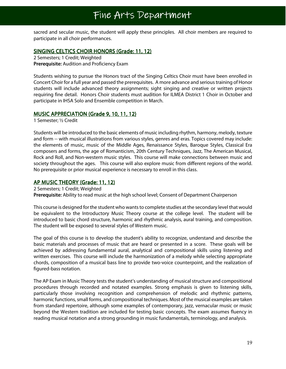sacred and secular music, the student will apply these principles. All choir members are required to participate in all choir performances.

#### SINGING CELTICS CHOIR HONORS (Grade: 11, 12)

2 Semesters; 1 Credit; Weighted Prerequisite: Audition and Proficiency Exam

Students wishing to pursue the Honors tract of the Singing Celtics Choir must have been enrolled in Concert Choir for a full year and passed the prerequisites. A more advance and serious training of Honor students will include advanced theory assignments; sight singing and creative or written projects requiring fine detail. Honors Choir students must audition for ILMEA District 1 Choir in October and participate in IHSA Solo and Ensemble competition in March.

#### MUSIC APPRECIATION (Grade 9, 10, 11, 12)

1 Semester; ½ Credit

Students will be introduced to the basic elements of music including rhythm, harmony, melody, texture and form -- with musical illustrations from various styles, genres and eras. Topics covered may include: the elements of music, music of the Middle Ages, Renaissance Styles, Baroque Styles, Classical Era composers and forms, the age of Romanticism, 20th Century Techniques, Jazz, The American Musical, Rock and Roll, and Non-western music styles. This course will make connections between music and society throughout the ages. This course will also explore music from different regions of the world. No prerequisite or prior musical experience is necessary to enroll in this class.

#### AP MUSIC THEORY (Grade: 11, 12)

2 Semesters; 1 Credit; Weighted

Prerequisite: Ability to read music at the high school level; Consent of Department Chairperson

This course is designed for the student who wants to complete studies at the secondary level that would be equivalent to the Introductory Music Theory course at the college level. The student will be introduced to basic chord structure, harmonic and rhythmic analysis, aural training, and composition. The student will be exposed to several styles of Western music.

The goal of this course is to develop the student's ability to recognize, understand and describe the basic materials and processes of music that are heard or presented in a score. These goals will be achieved by addressing fundamental aural, analytical and compositional skills using listening and written exercises. This course will include the harmonization of a melody while selecting appropriate chords, composition of a musical bass line to provide two-voice counterpoint, and the realization of figured-bass notation.

The AP Exam in Music Theory tests the student's understanding of musical structure and compositional procedures through recorded and notated examples. Strong emphasis is given to listening skills, particularly those involving recognition and comprehension of melodic and rhythmic patterns, harmonic functions, small forms, and compositional techniques. Most of the musical examples are taken from standard repertoire, although some examples of contemporary, jazz, vernacular music or music beyond the Western tradition are included for testing basic concepts. The exam assumes fluency in reading musical notation and a strong grounding in music fundamentals, terminology, and analysis.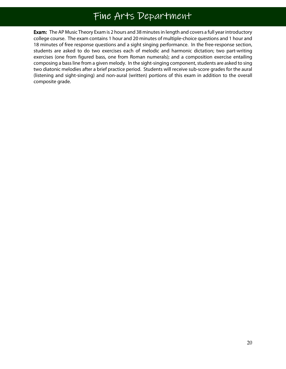l Exam: The AP Music Theory Exam is 2 hours and 38 minutes in length and covers a full year introductory college course. The exam contains 1 hour and 20 minutes of multiple-choice questions and 1 hour and 18 minutes of free response questions and a sight singing performance. In the free-response section, students are asked to do two exercises each of melodic and harmonic dictation; two part-writing exercises (one from figured bass, one from Roman numerals); and a composition exercise entailing composing a bass line from a given melody. In the sight-singing component, students are asked to sing two diatonic melodies after a brief practice period. Students will receive sub-score grades for the aural (listening and sight-singing) and non-aural (written) portions of this exam in addition to the overall composite grade.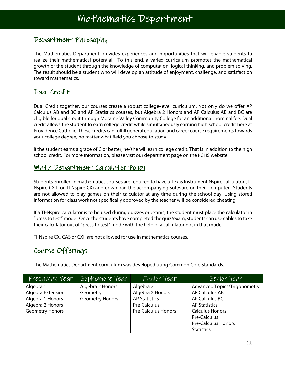#### Department Philosophy

The Mathematics Department provides experiences and opportunities that will enable students to realize their mathematical potential. To this end, a varied curriculum promotes the mathematical growth of the student through the knowledge of computation, logical thinking, and problem solving. The result should be a student who will develop an attitude of enjoyment, challenge, and satisfaction toward mathematics.

#### Dual Credit

Ξ

Dual Credit together, our courses create a robust college-level curriculum. Not only do we offer AP Calculus AB and BC and AP Statistics courses, but Algebra 2 Honors and AP Calculus AB and BC are eligible for dual credit through Moraine Valley Community College for an additional, nominal fee. Dual credit allows the student to earn college credit while simultaneously earning high school credit here at Providence Catholic. These credits can fulfill general education and career course requirements towards your college degree, no matter what field you choose to study.

If the student earns a grade of C or better, he/she will earn college credit. That is in addition to the high school credit. For more information, please visit our department page on the PCHS website.

#### Math Department Calculator Policy

Students enrolled in mathematics courses are required to have a Texas Instrument Nspire calculator (TI-Nspire CX II or TI-Nspire CX) and download the accompanying software on their computer. Students are not allowed to play games on their calculator at any time during the school day. Using stored information for class work not specifically approved by the teacher will be considered cheating.

If a TI-Nspire calculator is to be used during quizzes or exams, the student must place the calculator in "press to test" mode. Once the students have completed the quiz/exam, students can use cables to take their calculator out of "press to test" mode with the help of a calculator not in that mode.

TI-Nspire CX, CAS or CXII are not allowed for use in mathematics courses.

#### Course Offerings

The Mathematics Department curriculum was developed using Common Core Standards.

| Freshman Year          | Sophomore Year         | Junior Year                | Senior Year                         |
|------------------------|------------------------|----------------------------|-------------------------------------|
| Algebra 1              | Algebra 2 Honors       | Algebra 2                  | <b>Advanced Topics/Trigonometry</b> |
| Algebra Extension      | Geometry               | Algebra 2 Honors           | <b>AP Calculus AB</b>               |
| Algebra 1 Honors       | <b>Geometry Honors</b> | <b>AP Statistics</b>       | AP Calculus BC                      |
| Algebra 2 Honors       |                        | Pre-Calculus               | <b>AP Statistics</b>                |
| <b>Geometry Honors</b> |                        | <b>Pre-Calculus Honors</b> | <b>Calculus Honors</b>              |
|                        |                        |                            | Pre-Calculus                        |
|                        |                        |                            | <b>Pre-Calculus Honors</b>          |
|                        |                        |                            | <b>Statistics</b>                   |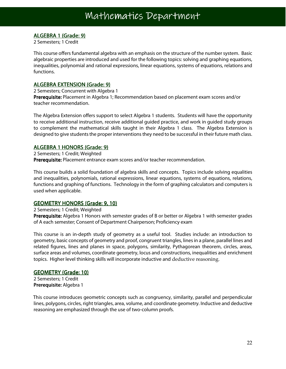#### ALGEBRA 1 (Grade: 9)

2 Semesters; 1 Credit

This course offers fundamental algebra with an emphasis on the structure of the number system. Basic algebraic properties are introduced and used for the following topics: solving and graphing equations, inequalities, polynomial and rational expressions, linear equations, systems of equations, relations and functions.

#### ALGEBRA EXTENSION (Grade: 9)

2 Semesters; Concurrent with Algebra 1

Prerequisite: Placement in Algebra 1; Recommendation based on placement exam scores and/or teacher recommendation.

The Algebra Extension offers support to select Algebra 1 students. Students will have the opportunity to receive additional instruction, receive additional guided practice, and work in guided study groups to complement the mathematical skills taught in their Algebra 1 class. The Algebra Extension is designed to give students the proper interventions they need to be successful in their future math class.

#### ALGEBRA 1 HONORS (Grade: 9)

2 Semesters; 1 Credit; Weighted Prerequisite: Placement entrance exam scores and/or teacher recommendation.

This course builds a solid foundation of algebra skills and concepts. Topics include solving equalities and inequalities, polynomials, rational expressions, linear equations, systems of equations, relations, functions and graphing of functions. Technology in the form of graphing calculators and computers is used when applicable.

#### GEOMETRY HONORS (Grade: 9, 10)

2 Semesters; 1 Credit; Weighted Prerequisite: Algebra 1 Honors with semester grades of B or better or Algebra 1 with semester grades of A each semester; Consent of Department Chairperson; Proficiency exam

This course is an in-depth study of geometry as a useful tool. Studies include: an introduction to geometry, basic concepts of geometry and proof, congruent triangles, lines in a plane, parallel lines and related figures, lines and planes in space, polygons, similarity, Pythagorean theorem, circles, areas, surface areas and volumes, coordinate geometry, locus and constructions, inequalities and enrichment topics. Higher level thinking skills will incorporate inductive and deductive reasoning.

#### GEOMETRY (Grade: 10)

2 Semesters; 1 Credit Prerequisite: Algebra 1

 This course introduces geometric concepts such as congruency, similarity, parallel and perpendicular lines, polygons, circles, right triangles, area, volume, and coordinate geometry. Inductive and deductive reasoning are emphasized through the use of two-column proofs.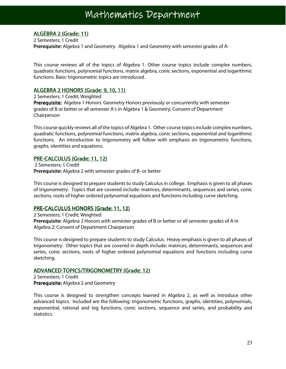Ξ

#### ALGEBRA 2 (Grade: 11)

Ī

2 Semesters; 1 Credit Prerequisite: Algebra 1 and Geometry. Algebra 1 and Geometry with semester grades of A-

This course reviews all of the topics of Algebra 1. Other course topics include complex numbers, quadratic functions, polynomial functions, matrix algebra, conic sections, exponential and logarithmic functions. Basic trigonometric topics are introduced.

#### ALGEBRA 2 HONORS (Grade: 9, 10, 11)

2 Semesters; 1 Credit; Weighted Prerequisite: Algebra 1 Honors. Geometry Honors previously or concurrently with semester grades of B or better or all semester A's in Algebra 1 & Geometry; Consent of Department Chairperson

This course quickly reviews all of the topics of Algebra 1. Other course topics include complex numbers, quadratic functions, polynomial functions, matrix algebra, conic sections, exponential and logarithmic functions. An introduction to trigonometry will follow with emphasis on trigonometric functions, graphs, identities and equations.

#### PRE-CALCULUS (Grade: 11, 12)

 2 Semesters; 1 Credit Prerequisite: Algebra 2 with semester grades of B- or better

This course is designed to prepare students to study Calculus in college. Emphasis is given to all phases of trigonometry. Topics that are covered include: matrices, determinants, sequences and series, conic sections, roots of higher ordered polynomial equations and functions including curve sketching.

#### PRE-CALCULUS HONORS (Grade: 11, 12)

2 Semesters; 1 Credit; Weighted Prerequisite: Algebra 2 Honors with semester grades of B or better or all semester grades of A in Algebra 2; Consent of Department Chairperson

This course is designed to prepare students to study Calculus. Heavy emphasis is given to all phases of trigonometry. Other topics that are covered in depth include: matrices, determinants, sequences and series, conic sections, roots of higher ordered polynomial equations and functions including curve sketching.

#### ADVANCED TOPICS/TRIGONOMETRY (Grade: 12)

2 Semesters; 1 Credit Prerequisite: Algebra 2 and Geometry

This course is designed to strengthen concepts learned in Algebra 2, as well as introduce other advanced topics. Included are the following: trigonometric functions, graphs, identities, polynomials, exponential, rational and log functions, conic sections, sequence and series, and probability and statistics.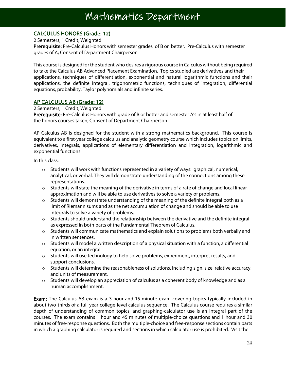٦

#### **CALCULUS HONORS (Grade: 12)**

2 Semesters; 1 Credit; Weighted

l

Prerequisite: Pre-Calculus Honors with semester grades of B or better. Pre-Calculus with semester grades of A; Consent of Department Chairperson

This course is designed for the student who desires a rigorous course in Calculus without being required to take the Calculus AB Advanced Placement Examination. Topics studied are derivatives and their applications, techniques of differentiation, exponential and natural logarithmic functions and their applications, the definite integral, trigonometric functions, techniques of integration, differential equations, probability, Taylor polynomials and infinite series.

#### AP CALCULUS AB (Grade: 12)

2 Semesters; 1 Credit; Weighted

Prerequisite: Pre-Calculus Honors with grade of B or better and semester A's in at least half of the honors courses taken; Consent of Department Chairperson

AP Calculus AB is designed for the student with a strong mathematics background. This course is equivalent to a first-year college calculus and analytic geometry course which includes topics on limits, derivatives, integrals, applications of elementary differentiation and integration, logarithmic and exponential functions.

In this class:

- $\circ$  Students will work with functions represented in a variety of ways: graphical, numerical, analytical, or verbal. They will demonstrate understanding of the connections among these representations.
- $\circ$  Students will state the meaning of the derivative in terms of a rate of change and local linear approximation and will be able to use derivatives to solve a variety of problems.
- $\circ$  Students will demonstrate understanding of the meaning of the definite integral both as a limit of Riemann sums and as the net accumulation of change and should be able to use integrals to solve a variety of problems.
- $\circ$  Students should understand the relationship between the derivative and the definite integral as expressed in both parts of the Fundamental Theorem of Calculus.
- $\circ$  Students will communicate mathematics and explain solutions to problems both verbally and in written sentences.
- o Students will model a written description of a physical situation with a function, a differential equation, or an integral.
- $\circ$  Students will use technology to help solve problems, experiment, interpret results, and support conclusions.
- $\circ$  Students will determine the reasonableness of solutions, including sign, size, relative accuracy, and units of measurement.
- $\circ$  Students will develop an appreciation of calculus as a coherent body of knowledge and as a human accomplishment.

**Exam:** The Calculus AB exam is a 3-hour-and-15-minute exam covering topics typically included in about two-thirds of a full-year college-level calculus sequence. The Calculus course requires a similar depth of understanding of common topics, and graphing-calculator use is an integral part of the courses. The exam contains 1 hour and 45 minutes of multiple-choice questions and 1 hour and 30 minutes of free-response questions. Both the multiple-choice and free-response sections contain parts in which a graphing calculator is required and sections in which calculator use is prohibited. Visit the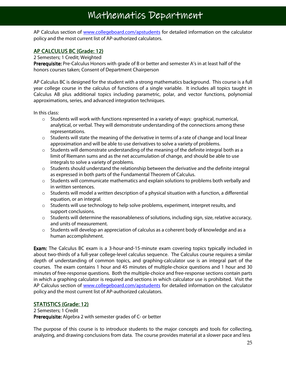AP Calculus section of www.collegeboard.com/apstudents for detailed information on the calculator policy and the most current list of AP-authorized calculators.

#### AP CALCULUS BC (Grade: 12)

2 Semesters; 1 Credit; Weighted

Prerequisite: Pre-Calculus Honors with grade of B or better and semester A's in at least half of the honors courses taken; Consent of Department Chairperson

AP Calculus BC is designed for the student with a strong mathematics background. This course is a full year college course in the calculus of functions of a single variable. It includes all topics taught in Calculus AB plus additional topics including parametric, polar, and vector functions, polynomial approximations, series, and advanced integration techniques.

In this class:

- $\circ$  Students will work with functions represented in a variety of ways: graphical, numerical, analytical, or verbal. They will demonstrate understanding of the connections among these representations.
- $\circ$  Students will state the meaning of the derivative in terms of a rate of change and local linear approximation and will be able to use derivatives to solve a variety of problems.
- $\circ$  Students will demonstrate understanding of the meaning of the definite integral both as a limit of Riemann sums and as the net accumulation of change, and should be able to use integrals to solve a variety of problems.
- $\circ$  Students should understand the relationship between the derivative and the definite integral as expressed in both parts of the Fundamental Theorem of Calculus.
- $\circ$  Students will communicate mathematics and explain solutions to problems both verbally and in written sentences.
- $\circ$  Students will model a written description of a physical situation with a function, a differential equation, or an integral.
- $\circ$  Students will use technology to help solve problems, experiment, interpret results, and support conclusions.
- o Students will determine the reasonableness of solutions, including sign, size, relative accuracy, and units of measurement.
- $\circ$  Students will develop an appreciation of calculus as a coherent body of knowledge and as a human accomplishment.

Exam: The Calculus BC exam is a 3-hour-and-15-minute exam covering topics typically included in about two-thirds of a full-year college-level calculus sequence. The Calculus course requires a similar depth of understanding of common topics, and graphing-calculator use is an integral part of the courses. The exam contains 1 hour and 45 minutes of multiple-choice questions and 1 hour and 30 minutes of free-response questions. Both the multiple-choice and free-response sections contain parts in which a graphing calculator is required and sections in which calculator use is prohibited. Visit the AP Calculus section of www.collegeboard.com/apstudents for detailed information on the calculator policy and the most current list of AP-authorized calculators.

#### STATISTICS (Grade: 12)

2 Semesters; 1 Credit

Prerequisite: Algebra 2 with semester grades of C- or better

The purpose of this course is to introduce students to the major concepts and tools for collecting, analyzing, and drawing conclusions from data. The course provides material at a slower pace and less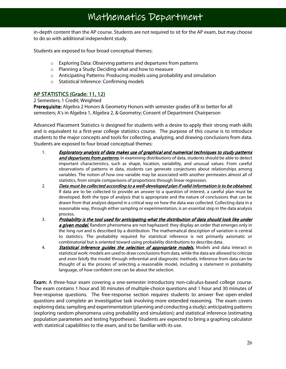in-depth content than the AP course. Students are not required to sit for the AP exam, but may choose to do so with additional independent study.

Students are exposed to four broad conceptual themes:

- o Exploring Data: Observing patterns and departures from patterns
- o Planning a Study: Deciding what and how to measure
- $\circ$  Anticipating Patterns: Producing models using probability and simulation
- o Statistical Inference: Confirming models

#### AP STATISTICS (Grade: 11, 12)

2 Semesters; 1 Credit; Weighted

Prerequisite: Algebra 2 Honors & Geometry Honors with semester grades of B or better for all semesters; A's in Algebra 1, Algebra 2, & Geometry; Consent of Department Chairperson

Advanced Placement Statistics is designed for students with a desire to apply their strong math skills and is equivalent to a first-year college statistics course. The purpose of this course is to introduce students to the major concepts and tools for collecting, analyzing, and drawing conclusions from data. Students are exposed to four broad conceptual themes:

- 1. Exploratory analysis of data makes use of graphical and numerical techniques to study patterns and departures from patterns. In examining distributions of data, students should be able to detect important characteristics, such as shape, location, variability, and unusual values. From careful observations of patterns in data, students can generate conjectures about relationships among variables. The notion of how one variable may be associated with another permeates almost all of statistics, from simple comparisons of proportions through linear regression.
- 2. Data must be collected according to a well-developed plan if valid information is to be obtained. If data are to be collected to provide an answer to a question of interest, a careful plan must be developed. Both the type of analysis that is appropriate and the nature of conclusions that can be drawn from that analysis depend in a critical way on how the data was collected. Collecting data in a reasonable way, through either sampling or experimentation, is an essential step in the data analysis process.
- 3. Probability is the tool used for anticipating what the distribution of data should look like under a given model. Random phenomena are not haphazard: they display an order that emerges only in the long run and is described by a distribution. The mathematical description of variation is central to statistics. The probability required for statistical inference is not primarily axiomatic or combinatorial but is oriented toward using probability distributions to describe data.
- 4. **Statistical inference guides the selection of appropriate models.** Models and data interact in statistical work: models are used to draw conclusions from data, while the data are allowed to criticize and even falsify the model through inferential and diagnostic methods. Inference from data can be thought of as the process of selecting a reasonable model, including a statement in probability language, of how confident one can be about the selection.

Exam: A three-hour exam covering a one-semester introductory non-calculus-based college course. The exam contains 1 hour and 30 minutes of multiple-choice questions and 1 hour and 30 minutes of free-response questions. The free-response section requires students to answer five open-ended questions and complete an investigative task involving more extended reasoning. The exam covers exploring data; sampling and experimentation (planning and conducting a study); anticipating patterns (exploring random phenomena using probability and simulation); and statistical inference (estimating population parameters and testing hypotheses). Students are expected to bring a graphing calculator with statistical capabilities to the exam, and to be familiar with its use.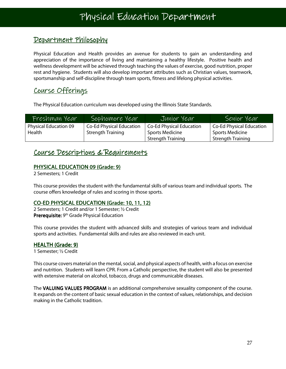#### Department Philosophy

Physical Education and Health provides an avenue for students to gain an understanding and appreciation of the importance of living and maintaining a healthy lifestyle. Positive health and wellness development will be achieved through teaching the values of exercise, good nutrition, proper rest and hygiene. Students will also develop important attributes such as Christian values, teamwork, sportsmanship and self-discipline through team sports, fitness and lifelong physical activities.

#### Course Offerings

The Physical Education curriculum was developed using the Illinois State Standards.

| Freshman Year                | Sophomore Year           | Junior Year                     | Senior Year              |
|------------------------------|--------------------------|---------------------------------|--------------------------|
| <b>Physical Education 09</b> | Co-Ed Physical Education | <b>Co-Ed Physical Education</b> | Co-Ed Physical Education |
| Health                       | <b>Strength Training</b> | <b>Sports Medicine</b>          | <b>Sports Medicine</b>   |
|                              |                          | <b>Strength Training</b>        | <b>Strength Training</b> |

#### Course Descriptions & Requirements

#### PHYSICAL EDUCATION 09 (Grade: 9)

2 Semesters; 1 Credit

This course provides the student with the fundamental skills of various team and individual sports. The course offers knowledge of rules and scoring in those sports.

#### CO-ED PHYSICAL EDUCATION (Grade: 10, 11, 12)

2 Semesters; 1 Credit and/or 1 Semester; ½ Credit Prerequisite: 9<sup>th</sup> Grade Physical Education

This course provides the student with advanced skills and strategies of various team and individual sports and activities. Fundamental skills and rules are also reviewed in each unit.

#### HEALTH (Grade: 9)

1 Semester; ½ Credit

This course covers material on the mental, social, and physical aspects of health, with a focus on exercise and nutrition. Students will learn CPR. From a Catholic perspective, the student will also be presented with extensive material on alcohol, tobacco, drugs and communicable diseases.

The VALUING VALUES PROGRAM is an additional comprehensive sexuality component of the course. It expands on the content of basic sexual education in the context of values, relationships, and decision making in the Catholic tradition.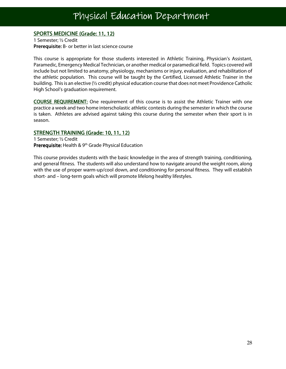#### SPORTS MEDICINE (Grade: 11, 12)

I

1 Semester; ½ Credit Prerequisite: B- or better in last science course

This course is appropriate for those students interested in Athletic Training, Physician's Assistant, Paramedic, Emergency Medical Technician, or another medical or paramedical field. Topics covered will include but not limited to anatomy, physiology, mechanisms or injury, evaluation, and rehabilitation of the athletic population. This course will be taught by the Certified, Licensed Athletic Trainer in the building. This is an elective (½ credit) physical education course that does not meet Providence Catholic High School's graduation requirement.

COURSE REQUIREMENT: One requirement of this course is to assist the Athletic Trainer with one practice a week and two home interscholastic athletic contests during the semester in which the course is taken. Athletes are advised against taking this course during the semester when their sport is in season.

#### STRENGTH TRAINING (Grade: 10, 11, 12)

1 Semester; ½ Credit **Prerequisite:** Health &  $9<sup>th</sup>$  Grade Physical Education

This course provides students with the basic knowledge in the area of strength training, conditioning, and general fitness. The students will also understand how to navigate around the weight room, along with the use of proper warm-up/cool down, and conditioning for personal fitness. They will establish short- and – long-term goals which will promote lifelong healthy lifestyles.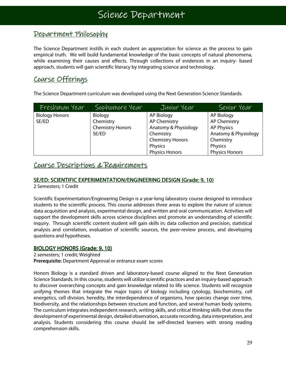#### Department Philosophy

The Science Department instills in each student an appreciation for science as the process to gain empirical truth. We will build fundamental knowledge of the basic concepts of natural phenomena, while examining their causes and effects. Through collections of evidences in an inquiry- based approach, students will gain scientific literacy by integrating science and technology.

#### Course Offerings

The Science Department curriculum was developed using the Next Generation Science Standards.

| Freshman Year         | Sophomore Year          | Junior Year             | Senior Year           |
|-----------------------|-------------------------|-------------------------|-----------------------|
| <b>Biology Honors</b> | Biology                 | AP Biology              | <b>AP Biology</b>     |
| SE/ED                 | Chemistry               | <b>AP Chemistry</b>     | <b>AP Chemistry</b>   |
|                       | <b>Chemistry Honors</b> | Anatomy & Physiology    | <b>AP Physics</b>     |
|                       | SE/ED                   | Chemistry               | Anatomy & Physiology  |
|                       |                         | <b>Chemistry Honors</b> | Chemistry             |
|                       |                         | Physics                 | Physics               |
|                       |                         | <b>Physics Honors</b>   | <b>Physics Honors</b> |

#### Course Descriptions & Requirements

#### SE/ED: SCIENTIFIC EXPERIMENTATION/ENGINEERING DESIGN (Grade: 9, 10)

2 Semesters; 1 Credit

Scientific Experimentation/Engineering Design is a year-long laboratory course designed to introduce students to the scientific process. This course addresses three areas to explore the nature of science: data acquisition and analysis, experimental design, and written and oral communication. Activities will support the development skills across science disciplines and promote an understanding of scientific inquiry. Through scientific content student will gain skills in; data collection and precision, statistical analysis and correlation, evaluation of scientific sources, the peer-review process, and developing questions and hypotheses.

#### BIOLOGY HONORS (Grade: 9, 10)

2 semesters; 1 credit; Weighted Prerequisite: Department Approval or entrance exam scores

Honors Biology is a standard driven and laboratory-based course aligned to the Next Generation Science Standards. In this course, students will utilize scientific practices and an inquiry-based approach to discover overarching concepts and gain knowledge related to life science. Students will recognize unifying themes that integrate the major topics of biology including cytology, biochemistry, cell energetics, cell division, heredity, the interdependence of organisms, how species change over time, biodiversity, and the relationships between structure and function, and several human body systems. The curriculum integrates independent research, writing skills, and critical thinking skills that stress the development of experimental design, detailed observation, accurate recording, data interpretation, and analysis. Students considering this course should be self-directed learners with strong reading comprehension skills.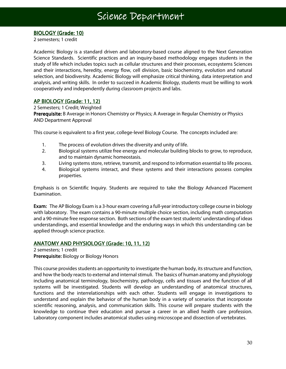#### BIOLOGY (Grade: 10)

2 semesters; 1 credit

Academic Biology is a standard driven and laboratory-based course aligned to the Next Generation Science Standards. Scientific practices and an inquiry-based methodology engages students in the study of life which includes topics such as cellular structures and their processes, ecosystems Sciences and their interactions, heredity, energy flow, cell division, basic biochemistry, evolution and natural selection, and biodiversity. Academic Biology will emphasize critical thinking, data interpretation and analysis, and writing skills. In order to succeed in Academic Biology, students must be willing to work cooperatively and independently during classroom projects and labs.

#### AP BIOLOGY (Grade: 11, 12)

2 Semesters; 1 Credit; Weighted Prerequisite: B Average in Honors Chemistry or Physics; A Average in Regular Chemistry or Physics AND Department Approval

This course is equivalent to a first year, college-level Biology Course. The concepts included are:

- 1. The process of evolution drives the diversity and unity of life.
- 2. Biological systems utilize free energy and molecular building blocks to grow, to reproduce, and to maintain dynamic homeostasis.
- 3. Living systems store, retrieve, transmit, and respond to information essential to life process.
- 4. Biological systems interact, and these systems and their interactions possess complex properties.

Emphasis is on Scientific Inquiry. Students are required to take the Biology Advanced Placement Examination.

Exam: The AP Biology Exam is a 3-hour exam covering a full-year introductory college course in biology with laboratory. The exam contains a 90-minute multiple choice section, including math computation and a 90-minute free response section. Both sections of the exam test students' understanding of ideas understandings, and essential knowledge and the enduring ways in which this understanding can be applied through science practice.

#### ANATOMY AND PHYSIOLOGY (Grade: 10, 11, 12)

2 semesters; 1 credit Prerequisite: Biology or Biology Honors

This course provides students an opportunity to investigate the human body, its structure and function, and how the body reacts to external and internal stimuli. The basics of human anatomy and physiology including anatomical terminology, biochemistry, pathology, cells and tissues and the function of all systems will be investigated. Students will develop an understanding of anatomical structures, functions and the interrelationships with each other. Students will engage in investigations to understand and explain the behavior of the human body in a variety of scenarios that incorporate scientific reasoning, analysis, and communication skills. This course will prepare students with the knowledge to continue their education and pursue a career in an allied health care profession. Laboratory component includes anatomical studies using microscope and dissection of vertebrates.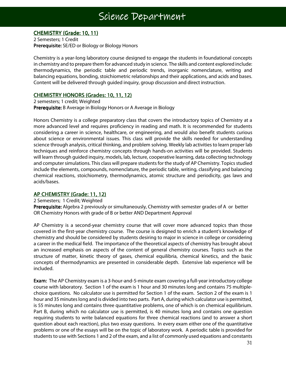### Science Department

 ٦

#### CHEMISTRY (Grade: 10, 11)

2 Semesters; 1 Credit Prerequisite: SE/ED or Biology or Biology Honors

Chemistry is a year-long laboratory course designed to engage the students in foundational concepts in chemistry and to prepare them for advanced study in science. The skills and content explored include: thermodynamics, the periodic table and periodic trends, inorganic nomenclature, writing and balancing equations, bonding, stoichiometric relationships and their applications, and acids and bases. Content will be delivered through guided inquiry, group discussion and direct instruction.

#### CHEMISTRY HONORS (Grades: 10, 11, 12)

2 semesters; 1 credit; Weighted Prerequisite: B Average in Biology Honors or A Average in Biology

Honors Chemistry is a college preparatory class that covers the introductory topics of Chemistry at a more advanced level and requires proficiency in reading and math. It is recommended for students considering a career in science, healthcare, or engineering, and would also benefit students curious about science or environmental issues. This class will provide the skills needed for understanding science through analysis, critical thinking, and problem solving. Weekly lab activities to learn proper lab techniques and reinforce chemistry concepts through hands-on activities will be provided. Students will learn through guided inquiry, models, lab, lecture, cooperative learning, data collecting technology and computer simulations. This class will prepare students for the study of AP Chemistry. Topics studied include the elements, compounds, nomenclature, the periodic table, writing, classifying and balancing chemical reactions, stoichiometry, thermodynamics, atomic structure and periodicity, gas laws and acids/bases.

#### AP CHEMISTRY (Grade: 11, 12)

2 Semesters; 1 Credit; Weighted

Prerequisite: Algebra 2 previously or simultaneously, Chemistry with semester grades of A or better OR Chemistry Honors with grade of B or better AND Department Approval

AP Chemistry is a second-year chemistry course that will cover more advanced topics than those covered in the first-year chemistry course. The course is designed to enrich a student's knowledge of chemistry and should be considered by students desiring to major in science in college or considering a career in the medical field. The importance of the theoretical aspects of chemistry has brought about an increased emphasis on aspects of the content of general chemistry courses. Topics such as the structure of matter, kinetic theory of gases, chemical equilibria, chemical kinetics, and the basic concepts of thermodynamics are presented in considerable depth. Extensive lab experience will be included.

Exam: The AP Chemistry exam is a 3-hour-and-5-minute exam covering a full-year introductory college course with laboratory. Section 1 of the exam is 1 hour and 30 minutes long and contains 75 multiplechoice questions. No calculator use is permitted for Section 1 of the exam. Section 2 of the exam is 1 hour and 35 minutes long and is divided into two parts. Part A, during which calculator use is permitted, is 55 minutes long and contains three quantitative problems, one of which is on chemical equilibrium. Part B, during which no calculator use is permitted, is 40 minutes long and contains one question requiring students to write balanced equations for three chemical reactions (and to answer a short question about each reaction), plus two essay questions. In every exam either one of the quantitative problems or one of the essays will be on the topic of laboratory work. A periodic table is provided for students to use with Sections 1 and 2 of the exam, and a list of commonly used equations and constants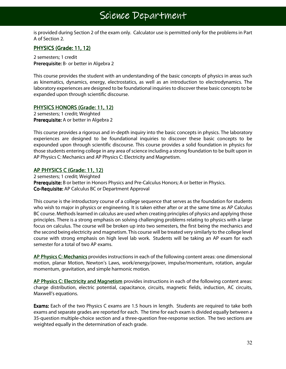### Science Department

is provided during Section 2 of the exam only. Calculator use is permitted only for the problems in Part A of Section 2.

#### PHYSICS (Grade: 11, 12)

2 semesters; 1 credit Prerequisite: B- or better in Algebra 2

This course provides the student with an understanding of the basic concepts of physics in areas such as kinematics, dynamics, energy, electrostatics, as well as an introduction to electrodynamics. The laboratory experiences are designed to be foundational inquiries to discover these basic concepts to be expanded upon through scientific discourse.

#### PHYSICS HONORS (Grade: 11, 12)

2 semesters; 1 credit; Weighted Prerequisite: A or better in Algebra 2

This course provides a rigorous and in-depth inquiry into the basic concepts in physics. The laboratory experiences are designed to be foundational inquiries to discover these basic concepts to be expounded upon through scientific discourse. This course provides a solid foundation in physics for those students entering college in any area of science including a strong foundation to be built upon in AP Physics C: Mechanics and AP Physics C: Electricity and Magnetism.

#### AP PHYSICS C (Grade: 11, 12)

2 semesters; 1 credit; Weighted Prerequisite: B or better in Honors Physics and Pre-Calculus Honors; A or better in Physics. Co-Requisite: AP Calculus BC or Department Approval

This course is the introductory course of a college sequence that serves as the foundation for students who wish to major in physics or engineering. It is taken either after or at the same time as AP Calculus BC course. Methods learned in calculus are used when creating principles of physics and applying those principles. There is a strong emphasis on solving challenging problems relating to physics with a large focus on calculus. The course will be broken up into two semesters, the first being the mechanics and the second being electricity and magnetism. This course will be treated very similarly to the college level course with strong emphasis on high level lab work. Students will be taking an AP exam for each semester for a total of two AP exams.

AP Physics C: Mechanics provides instructions in each of the following content areas: one dimensional motion, planar Motion, Newton's Laws, work/energy/power, impulse/momentum, rotation, angular momentum, gravitation, and simple harmonic motion.

AP Physics C: Electricity and Magnetism provides instructions in each of the following content areas: charge distribution, electric potential, capacitance, circuits, magnetic fields, induction, AC circuits, Maxwell's equations.

**Exams:** Each of the two Physics C exams are 1.5 hours in length. Students are required to take both exams and separate grades are reported for each. The time for each exam is divided equally between a 35-question multiple-choice section and a three-question free-response section. The two sections are weighted equally in the determination of each grade.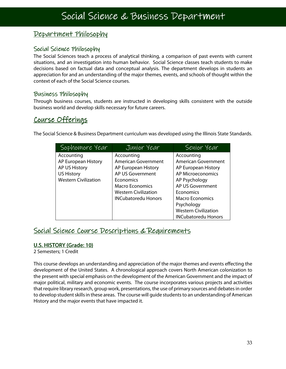#### Department Philosophy

#### Social Science Philosophy

The Social Sciences teach a process of analytical thinking, a comparison of past events with current situations, and an investigation into human behavior. Social Science classes teach students to make decisions based on factual data and conceptual analysis. The department develops in students an appreciation for and an understanding of the major themes, events, and schools of thought within the context of each of the Social Science courses.

#### Business Philosophy

Through business courses, students are instructed in developing skills consistent with the outside business world and develop skills necessary for future careers.

#### Course Offerings

The Social Science & Business Department curriculum was developed using the Illinois State Standards.

| Sophomore Year              | Junior Year                 | Senior Year                 |
|-----------------------------|-----------------------------|-----------------------------|
| Accounting                  | Accounting                  | Accounting                  |
| AP European History         | <b>American Government</b>  | American Government         |
| AP US History               | AP European History         | AP European History         |
| <b>US History</b>           | AP US Government            | <b>AP Microeconomics</b>    |
| <b>Western Civilization</b> | Economics                   | AP Psychology               |
|                             | <b>Macro Economics</b>      | AP US Government            |
|                             | <b>Western Civilization</b> | Economics                   |
|                             | <b>INCubatoredu Honors</b>  | Macro Economics             |
|                             |                             | Psychology                  |
|                             |                             | <b>Western Civilization</b> |
|                             |                             | <b>INCubatoredu Honors</b>  |

#### Social Science Course Descriptions & Requirements

#### U.S. HISTORY (Grade: 10)

2 Semesters; 1 Credit

This course develops an understanding and appreciation of the major themes and events effecting the development of the United States. A chronological approach covers North American colonization to the present with special emphasis on the development of the American Government and the impact of major political, military and economic events. The course incorporates various projects and activities that require library research, group work, presentations, the use of primary sources and debates in order to develop student skills in these areas. The course will guide students to an understanding of American History and the major events that have impacted it.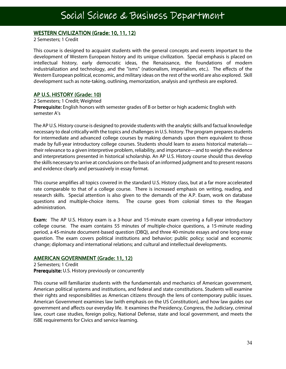#### WESTERN CIVILIZATION (Grade: 10, 11, 12)

2 Semesters; 1 Credit

This course is designed to acquaint students with the general concepts and events important to the development of Western European history and its unique civilization. Special emphasis is placed on intellectual history, early democratic ideas, the Renaissance, the foundations of modern industrialization and technology, and the "isms" (nationalism, imperialism, etc.). The effects of the Western European political, economic, and military ideas on the rest of the world are also explored. Skill development such as note-taking, outlining, memorization, analysis and synthesis are explored.

#### AP U.S. HISTORY (Grade: 10)

2 Semesters; 1 Credit; Weighted Prerequisite: English honors with semester grades of B or better or high academic English with semester A's

The AP U.S. History course is designed to provide students with the analytic skills and factual knowledge necessary to deal critically with the topics and challenges in U.S. history. The program prepares students for intermediate and advanced college courses by making demands upon them equivalent to those made by full-year introductory college courses. Students should learn to assess historical materials their relevance to a given interpretive problem, reliability, and importance—and to weigh the evidence and interpretations presented in historical scholarship. An AP U.S. History course should thus develop the skills necessary to arrive at conclusions on the basis of an informed judgment and to present reasons and evidence clearly and persuasively in essay format.

This course amplifies all topics covered in the standard U.S. History class, but at a far more accelerated rate comparable to that of a college course. There is increased emphasis on writing, reading, and research skills. Special attention is also given to the demands of the A.P. Exam, work on database questions and multiple-choice items. The course goes from colonial times to the Reagan administration.

**Exam:** The AP U.S. History exam is a 3-hour and 15-minute exam covering a full-year introductory college course. The exam contains 55 minutes of multiple-choice questions, a 15-minute reading period, a 45-minute document-based question (DBQ), and three 40-minute essays and one long essay question. The exam covers political institutions and behavior; public policy; social and economic change; diplomacy and international relations; and cultural and intellectual developments.

#### AMERICAN GOVERNMENT (Grade: 11, 12)

2 Semesters; 1 Credit Prerequisite: U.S. History previously or concurrently

This course will familiarize students with the fundamentals and mechanics of American government, American political systems and institutions, and federal and state constitutions. Students will examine their rights and responsibilities as American citizens through the lens of contemporary public issues. American Government examines law (with emphasis on the US Constitution), and how law guides our government and affects our everyday life. It examines the Presidency, Congress, the Judiciary, criminal law, court case studies, foreign policy, National Defense, state and local government, and meets the ISBE requirements for Civics and service learning.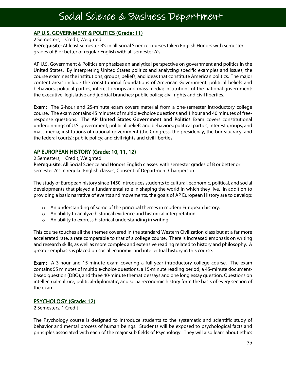### Social Science & Business Department

### AP U.S. GOVERNMENT & POLITICS (Grade: 11)

#### 2 Semesters; 1 Credit; Weighted

Prerequisite: At least semester B's in all Social Science courses taken English Honors with semester grades of B or better or regular English with all semester A's

AP U.S. Government & Politics emphasizes an analytical perspective on government and politics in the United States. By interpreting United States politics and analyzing specific examples and issues, the course examines the institutions, groups, beliefs, and ideas that constitute American politics. The major content areas include the constitutional foundations of American Government; political beliefs and behaviors, political parties, interest groups and mass media; institutions of the national government: the executive, legislative and judicial branches; public policy; civil rights and civil liberties.

Exam: The 2-hour and 25-minute exam covers material from a one-semester introductory college course. The exam contains 45 minutes of multiple-choice questions and 1 hour and 40 minutes of freeresponse questions. The AP United States Government and Politics Exam covers constitutional underpinnings of U.S. government; political beliefs and behaviors; political parties, interest groups, and mass media; institutions of national government (the Congress, the presidency, the bureaucracy, and the federal courts); public policy; and civil rights and civil liberties.

#### AP EUROPEAN HISTORY (Grade: 10, 11, 12)

#### 2 Semesters; 1 Credit; Weighted

Prerequisite: All Social Science and Honors English classes with semester grades of B or better or semester A's in regular English classes; Consent of Department Chairperson

The study of European history since 1450 introduces students to cultural, economic, political, and social developments that played a fundamental role in shaping the world in which they live. In addition to providing a basic narrative of events and movements, the goals of AP European History are to develop:

- $\circ$  An understanding of some of the principal themes in modern European history.
- o An ability to analyze historical evidence and historical interpretation.
- o An ability to express historical understanding in writing.

This course touches all the themes covered in the standard Western Civilization class but at a far more accelerated rate, a rate comparable to that of a college course. There is increased emphasis on writing and research skills, as well as more complex and extensive reading related to history and philosophy. A greater emphasis is placed on social economic and intellectual history in this course.

**Exam:** A 3-hour and 15-minute exam covering a full-year introductory college course. The exam contains 55 minutes of multiple-choice questions, a 15-minute reading period, a 45-minute documentbased question (DBQ), and three 40-minute thematic essays and one long essay question. Questions on intellectual-culture, political-diplomatic, and social-economic history form the basis of every section of the exam.

#### PSYCHOLOGY (Grade: 12)

2 Semesters; 1 Credit

The Psychology course is designed to introduce students to the systematic and scientific study of behavior and mental process of human beings. Students will be exposed to psychological facts and principles associated with each of the major sub fields of Psychology. They will also learn about ethics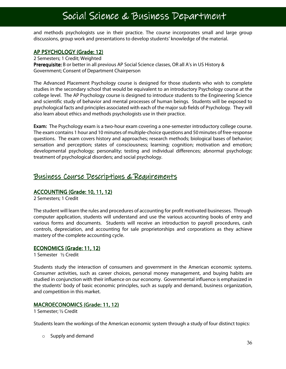### Social Science & Business Department

and methods psychologists use in their practice. The course incorporates small and large group discussions, group work and presentations to develop students' knowledge of the material.

#### AP PSYCHOLOGY (Grade: 12)

2 Semesters; 1 Credit; Weighted Prerequisite: B or better in all previous AP Social Science classes, OR all A's in US History & Government; Consent of Department Chairperson

The Advanced Placement Psychology course is designed for those students who wish to complete studies in the secondary school that would be equivalent to an introductory Psychology course at the college level. The AP Psychology course is designed to introduce students to the Engineering Science and scientific study of behavior and mental processes of human beings. Students will be exposed to psychological facts and principles associated with each of the major sub fields of Psychology. They will also learn about ethics and methods psychologists use in their practice.

**Exam:** The Psychology exam is a two-hour exam covering a one-semester introductory college course. The exam contains 1 hour and 10 minutes of multiple-choice questions and 50 minutes of free-response questions. The exam covers history and approaches; research methods; biological bases of behavior; sensation and perception; states of consciousness; learning; cognition; motivation and emotion; developmental psychology; personality; testing and individual differences; abnormal psychology; treatment of psychological disorders; and social psychology.

#### Business Course Descriptions & Requirements

#### ACCOUNTING (Grade: 10, 11, 12)

2 Semesters; 1 Credit

The student will learn the rules and procedures of accounting for profit motivated businesses. Through computer application, students will understand and use the various accounting books of entry and various forms and documents. Students will receive an introduction to payroll procedures, cash controls, depreciation, and accounting for sale proprietorships and corporations as they achieve mastery of the complete accounting cycle.

#### ECONOMICS (Grade: 11, 12)

1 Semester ½ Credit

Students study the interaction of consumers and government in the American economic systems. Consumer activities, such as career choices, personal money management, and buying habits are studied in conjunction with their influence on our economy. Governmental influence is emphasized in the students' body of basic economic principles, such as supply and demand, business organization, and competition in this market.

#### MACROECONOMICS (Grade: 11, 12)

1 Semester; ½ Credit

Students learn the workings of the American economic system through a study of four distinct topics:

o Supply and demand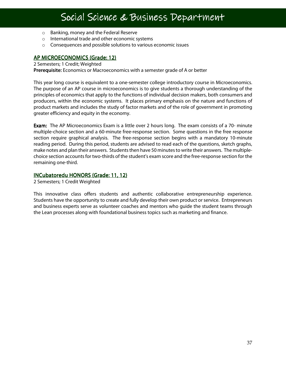### Social Science & Business Department

Ξ

- o Banking, money and the Federal Reserve
- o International trade and other economic systems
- o Consequences and possible solutions to various economic issues

#### AP MICROECONOMICS (Grade: 12)

2 Semesters; 1 Credit; Weighted

Prerequisite: Economics or Macroeconomics with a semester grade of A or better

This year long course is equivalent to a one-semester college introductory course in Microeconomics. The purpose of an AP course in microeconomics is to give students a thorough understanding of the principles of economics that apply to the functions of individual decision makers, both consumers and producers, within the economic systems. It places primary emphasis on the nature and functions of product markets and includes the study of factor markets and of the role of government in promoting greater efficiency and equity in the economy.

**Exam:** The AP Microeconomics Exam is a little over 2 hours long. The exam consists of a 70- minute multiple-choice section and a 60-minute free-response section. Some questions in the free response section require graphical analysis. The free-response section begins with a mandatory 10-minute reading period. During this period, students are advised to read each of the questions, sketch graphs, make notes and plan their answers. Students then have 50 minutes to write their answers. The multiplechoice section accounts for two-thirds of the student's exam score and the free-response section for the remaining one-third.

#### INCubatoredu HONORS (Grade: 11, 12)

2 Semesters; 1 Credit Weighted

This innovative class offers students and authentic collaborative entrepreneurship experience. Students have the opportunity to create and fully develop their own product or service. Entrepreneurs and business experts serve as volunteer coaches and mentors who guide the student teams through the Lean processes along with foundational business topics such as marketing and finance.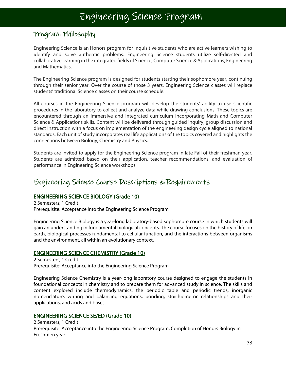### Engineering Science Program

Ξ

#### Program Philosophy

Engineering Science is an Honors program for inquisitive students who are active learners wishing to identify and solve authentic problems. Engineering Science students utilize self-directed and collaborative learning in the integrated fields of Science, Computer Science & Applications, Engineering and Mathematics.

The Engineering Science program is designed for students starting their sophomore year, continuing through their senior year. Over the course of those 3 years, Engineering Science classes will replace students' traditional Science classes on their course schedule.

All courses in the Engineering Science program will develop the students' ability to use scientific procedures in the laboratory to collect and analyze data while drawing conclusions. These topics are encountered through an immersive and integrated curriculum incorporating Math and Computer Science & Applications skills. Content will be delivered through guided inquiry, group discussion and direct instruction with a focus on implementation of the engineering design cycle aligned to national standards. Each unit of study incorporates real life applications of the topics covered and highlights the connections between Biology, Chemistry and Physics.

Students are invited to apply for the Engineering Science program in late Fall of their freshman year. Students are admitted based on their application, teacher recommendations, and evaluation of performance in Engineering Science workshops.

#### Engineering Science Course Descriptions & Requirements

#### ENGINEERING SCIENCE BIOLOGY (Grade 10)

2 Semesters; 1 Credit Prerequisite: Acceptance into the Engineering Science Program

Engineering Science Biology is a year-long laboratory-based sophomore course in which students will gain an understanding in fundamental biological concepts. The course focuses on the history of life on earth, biological processes fundamental to cellular function, and the interactions between organisms and the environment, all within an evolutionary context.

#### **ENGINEERING SCIENCE CHEMISTRY (Grade 10)**

2 Semesters; 1 Credit Prerequisite: Acceptance into the Engineering Science Program

Engineering Science Chemistry is a year-long laboratory course designed to engage the students in foundational concepts in chemistry and to prepare them for advanced study in science. The skills and content explored include thermodynamics, the periodic table and periodic trends, inorganic nomenclature, writing and balancing equations, bonding, stoichiometric relationships and their applications, and acids and bases.

#### **ENGINEERING SCIENCE SE/ED (Grade 10)**

2 Semesters; 1 Credit Prerequisite: Acceptance into the Engineering Science Program, Completion of Honors Biology in Freshmen year.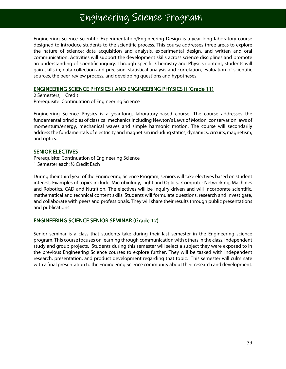### Engineering Science Program

Ξ

Engineering Science Scientific Experimentation/Engineering Design is a year-long laboratory course designed to introduce students to the scientific process. This course addresses three areas to explore the nature of science: data acquisition and analysis, experimental design, and written and oral communication. Activities will support the development skills across science disciplines and promote an understanding of scientific inquiry. Through specific Chemistry and Physics content, students will gain skills in; data collection and precision, statistical analysis and correlation, evaluation of scientific sources, the peer-review process, and developing questions and hypotheses.

#### ENGINEERING SCIENCE PHYSICS I AND ENGINEERING PHYSICS II(Grade 11) (Grade 11)

2 Semesters; 1 Credit Prerequisite: Continuation of Engineering Science

Engineering Science Physics is a year-long, laboratory-based course. The course addresses the fundamental principles of classical mechanics including Newton's Laws of Motion, conservation laws of momentum/energy, mechanical waves and simple harmonic motion. The course will secondarily address the fundamentals of electricity and magnetism including statics, dynamics, circuits, magnetism, and optics.

#### SENIOR ELECTIVES

Prerequisite: Continuation of Engineering Science 1 Semester each; ½ Credit Each

During their third year of the Engineering Science Program, seniors will take electives based on student interest. Examples of topics include: Microbiology, Light and Optics, Computer Networking, Machines and Robotics, CAD and Nutrition. The electives will be inquiry driven and will incorporate scientific, mathematical and technical content skills. Students will formulate questions, research and investigate, and collaborate with peers and professionals. They will share their results through public presentations and publications.

#### **ENGINEERING SCIENCE SENIOR SEMINAR (Grade 12)**

Senior seminar is a class that students take during their last semester in the Engineering science program. This course focuses on learning through communication with others in the class, independent study and group projects. Students during this semester will select a subject they were exposed to in the previous Engineering Science courses to explore further. They will be tasked with independent research, presentation, and product development regarding that topic. This semester will culminate with a final presentation to the Engineering Science community about their research and development.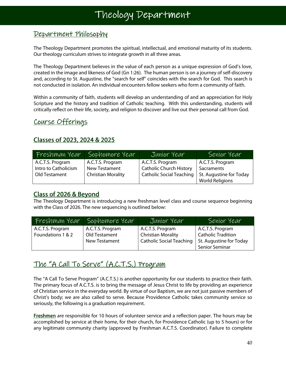Ξ

#### Department Philosophy

The Theology Department promotes the spiritual, intellectual, and emotional maturity of its students. Our theology curriculum strives to integrate growth in all three areas.

The Theology Department believes in the value of each person as a unique expression of God's love, created in the image and likeness of God (Gn 1:26). The human person is on a journey of self-discovery and, according to St. Augustine, the "search for self" coincides with the search for God. This search is not conducted in isolation. An individual encounters fellow seekers who form a community of faith.

Within a community of faith, students will develop an understanding of and an appreciation for Holy Scripture and the history and tradition of Catholic teaching. With this understanding, students will critically reflect on their life, society, and religion to discover and live out their personal call from God.

#### Course Offerings

#### Classes of 2023, 2024 & 2025

| - Freshman Year'     | Sophomore Year            | Junior Year                     | Senior Year             |
|----------------------|---------------------------|---------------------------------|-------------------------|
| A.C.T.S. Program     | A.C.T.S. Program          | A.C.T.S. Program                | A.C.T.S. Program        |
| Intro to Catholicism | <b>New Testament</b>      | <b>Catholic Church History</b>  | Sacraments              |
| Old Testament        | <b>Christian Morality</b> | <b>Catholic Social Teaching</b> | St. Augustine for Today |
|                      |                           |                                 | <b>World Religions</b>  |

#### Class of 2026 & Beyond

The Theology Department is introducing a new freshman level class and course sequence beginning with the Class of 2026. The new sequencing is outlined below:

| Freshman Year     | Sophomore Year       | Junior Year                     | Senior Year             |
|-------------------|----------------------|---------------------------------|-------------------------|
| A.C.T.S. Program  | A.C.T.S. Program     | A.C.T.S. Program                | A.C.T.S. Program        |
| Foundations 1 & 2 | Old Testament        | Christian Morality              | Catholic Tradition      |
|                   | <b>New Testament</b> | <b>Catholic Social Teaching</b> | St. Augustine for Today |
|                   |                      |                                 | <b>Senior Seminar</b>   |

#### <u>The "A Call To Serve" (A.C.T.S.) Program</u>

The "A Call To Serve Program" (A.C.T.S.) is another opportunity for our students to practice their faith. The primary focus of A.C.T.S. is to bring the message of Jesus Christ to life by providing an experience of Christian service in the everyday world. By virtue of our Baptism, we are not just passive members of Christ's body; we are also called to serve. Because Providence Catholic takes community service so seriously, the following is a graduation requirement.

Freshmen are responsible for 10 hours of volunteer service and a reflection paper. The hours may be accomplished by service at their home, for their church, for Providence Catholic (up to 5 hours) or for any legitimate community charity (approved by Freshman A.C.T.S. Coordinator). Failure to complete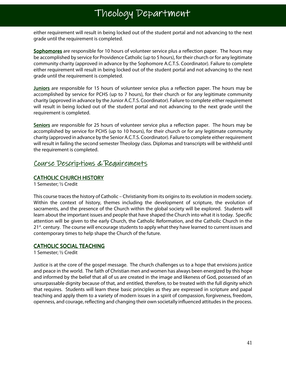### Theology Department Theology Department Theology Department Department

either requirement will result in being locked out of the student portal and not advancing to the next grade until the requirement is completed.

Sophomores are responsible for 10 hours of volunteer service plus a reflection paper. The hours may be accomplished by service for Providence Catholic (up to 5 hours), for their church or for any legitimate community charity (approved in advance by the Sophomore A.C.T.S. Coordinator). Failure to complete either requirement will result in being locked out of the student portal and not advancing to the next grade until the requirement is completed.

**Juniors** are responsible for 15 hours of volunteer service plus a reflection paper. The hours may be accomplished by service for PCHS (up to 7 hours), for their church or for any legitimate community charity (approved in advance by the Junior A.C.T.S. Coordinator). Failure to complete either requirement will result in being locked out of the student portal and not advancing to the next grade until the requirement is completed.

Seniors are responsible for 25 hours of volunteer service plus a reflection paper. The hours may be accomplished by service for PCHS (up to 10 hours), for their church or for any legitimate community charity (approved in advance by the Senior A.C.T.S. Coordinator). Failure to complete either requirement will result in failing the second semester Theology class. Diplomas and transcripts will be withheld until the requirement is completed.

#### Course Descriptions & Requirements

#### CATHOLIC CHURCH HISTORY

1 Semester; ½ Credit

This course traces the history of Catholic – Christianity from its origins to its evolution in modern society. Within the context of history, themes including the development of scripture, the evolution of sacraments, and the presence of the Church within the global society will be explored. Students will learn about the important issues and people that have shaped the Church into what it is today. Specific attention will be given to the early Church, the Catholic Reformation, and the Catholic Church in the  $21<sup>st</sup>$  century. The course will encourage students to apply what they have learned to current issues and contemporary times to help shape the Church of the future.

#### **CATHOLIC SOCIAL TEACHING**

1 Semester; ½ Credit

Justice is at the core of the gospel message. The church challenges us to a hope that envisions justice and peace in the world. The faith of Christian men and women has always been energized by this hope and informed by the belief that all of us are created in the image and likeness of God, possessed of an unsurpassable dignity because of that, and entitled, therefore, to be treated with the full dignity which that requires. Students will learn these basic principles as they are expressed in scripture and papal teaching and apply them to a variety of modern issues in a spirit of compassion, forgiveness, freedom, openness, and courage, reflecting and changing their own societally influenced attitudes in the process.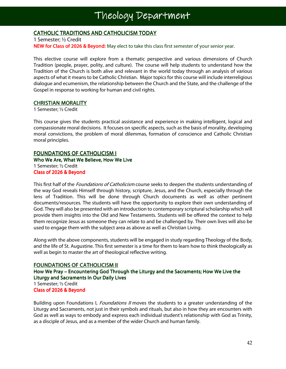### **CATHOLIC TRADITIONS AND CATHOLICISM TODAY**

1 Semester; ½ Credit NEW for Class of 2026 & Beyond: May elect to take this class first semester of your senior year.

This elective course will explore from a thematic perspective and various dimensions of Church Tradition (people, prayer, polity, and culture). The course will help students to understand how the Tradition of the Church is both alive and relevant in the world today through an analysis of various aspects of what it means to be Catholic Christian. Major topics for this course will include interreligious dialogue and ecumenism, the relationship between the Church and the State, and the challenge of the Gospel in response to working for human and civil rights.

#### CHRISTIAN MORALITY

1 Semester; ½ Credit

This course gives the students practical assistance and experience in making intelligent, logical and compassionate moral decisions. It focuses on specific aspects, such as the basis of morality, developing moral convictions, the problem of moral dilemmas, formation of conscience and Catholic Christian moral principles.

#### **FOUNDATIONS OF CATHOLICISM I**

Who We Are, What We Believe, How We Live 1 Semester; ½ Credit Class of 2026 & Beyond

This first half of the *Foundations of Catholicism* course seeks to deepen the students understanding of the way God reveals Himself through history, scripture, Jesus, and the Church, especially through the lens of Tradition. This will be done through Church documents as well as other pertinent documents/resources. The students will have the opportunity to explore their own understanding of God. They will also be presented with an introduction to contemporary scriptural scholarship which will provide them insights into the Old and New Testaments. Students will be offered the context to help them recognize Jesus as someone they can relate to and be challenged by. Their own lives will also be used to engage them with the subject area as above as well as Christian Living.

Along with the above components, students will be engaged in study regarding Theology of the Body, and the life of St. Augustine. This first semester is a time for them to learn how to think theologically as well as begin to master the art of theological reflective writing.

#### **FOUNDATIONS OF CATHOLICISM II**

How We Pray – Encountering God Through the Liturgy and the Sacraments; How We Live the Liturgy and Sacraments In Our Daily Lives 1 Semester; ½ Credit Class of 2026 & Beyond

Building upon Foundations I, Foundations II moves the students to a greater understanding of the Liturgy and Sacraments, not just in their symbols and rituals, but also in how they are encounters with God as well as ways to embody and express each individual student's relationship with God as Trinity, as a disciple of Jesus, and as a member of the wider Church and human family.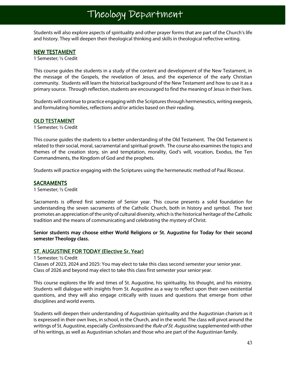Students will also explore aspects of spirituality and other prayer forms that are part of the Church's life and history. They will deepen their theological thinking and skills in theological reflective writing.

#### **NEW TESTAMENT**

1 Semester; ½ Credit

This course guides the students in a study of the content and development of the New Testament, in the message of the Gospels, the revelation of Jesus, and the experience of the early Christian community. Students will learn the historical background of the New Testament and how to use it as a primary source. Through reflection, students are encouraged to find the meaning of Jesus in their lives.

Students will continue to practice engaging with the Scriptures through hermeneutics, writing exegesis, and formulating homilies, reflections and/or articles based on their reading.

#### OLD TESTAMENT

1 Semester; ½ Credit

This course guides the students to a better understanding of the Old Testament. The Old Testament is related to their social, moral, sacramental and spiritual growth. The course also examines the topics and themes of the creation story, sin and temptation, morality, God's will, vocation, Exodus, the Ten Commandments, the Kingdom of God and the prophets.

Students will practice engaging with the Scriptures using the hermeneutic method of Paul Ricoeur.

#### **SACRAMENTS**

1 Semester; ½ Credit

Sacraments is offered first semester of Senior year. This course presents a solid foundation for understanding the seven sacraments of the Catholic Church, both in history and symbol. The text promotes an appreciation of the unity of cultural diversity, which is the historical heritage of the Catholic tradition and the means of communicating and celebrating the mystery of Christ.

#### Senior students may choose either World Religions or St. Augustine for Today for their second semester Theology class.

#### ST. AUGUSTINE FOR TODAY (Elective Sr. Year)

#### 1 Semester; ½ Credit

Classes of 2023, 2024 and 2025: You may elect to take this class second semester your senior year. Class of 2026 and beyond may elect to take this class first semester your senior year.

This course explores the life and times of St. Augustine, his spirituality, his thought, and his ministry. Students will dialogue with insights from St. Augustine as a way to reflect upon their own existential questions, and they will also engage critically with issues and questions that emerge from other disciplines and world events.

Students will deepen their understanding of Augustinian spirituality and the Augustinian charism as it is expressed in their own lives, in school, in the Church, and in the world. The class will pivot around the writings of St. Augustine, especially *Confessions* and the *Rule of St. Augustine*, supplemented with other of his writings, as well as Augustinian scholars and those who are part of the Augustinian family.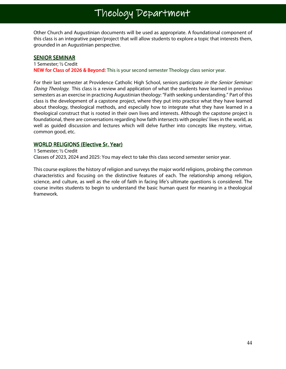Other Church and Augustinian documents will be used as appropriate. A foundational component of this class is an integrative paper/project that will allow students to explore a topic that interests them, grounded in an Augustinian perspective.

#### **SENIOR SEMINAR**

1 Semester; ½ Credit NEW for Class of 2026 & Beyond: This is your second semester Theology class senior year.

For their last semester at Providence Catholic High School, seniors participate in the Senior Seminar: Doing Theology. This class is a review and application of what the students have learned in previous semesters as an exercise in practicing Augustinian theology: "Faith seeking understanding." Part of this class is the development of a capstone project, where they put into practice what they have learned about theology, theological methods, and especially how to integrate what they have learned in a theological construct that is rooted in their own lives and interests. Although the capstone project is foundational, there are conversations regarding how faith intersects with peoples' lives in the world, as well as guided discussion and lectures which will delve further into concepts like mystery, virtue, common good, etc.

#### WORLD RELIGIONS (Elective Sr. Year)

1 Semester; ½ Credit Classes of 2023, 2024 and 2025: You may elect to take this class second semester senior year.

This course explores the history of religion and surveys the major world religions, probing the common characteristics and focusing on the distinctive features of each. The relationship among religion, science, and culture, as well as the role of faith in facing life's ultimate questions is considered. The course invites students to begin to understand the basic human quest for meaning in a theological framework.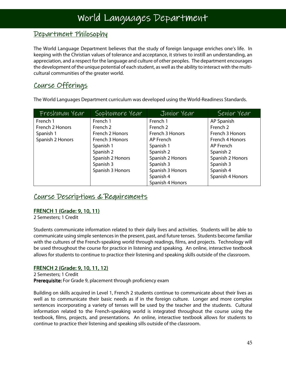#### Department Philosophy

The World Language Department believes that the study of foreign language enriches one's life. In keeping with the Christian values of tolerance and acceptance, it strives to instill an understanding, an appreciation, and a respect for the language and culture of other peoples. The department encourages the development of the unique potential of each student, as well as the ability to interact with the multicultural communities of the greater world.

#### Course Offerings

The World Languages Department curriculum was developed using the World-Readiness Standards.

| Freshman Year    | Sophomore Year   | Junior Year      | Senior Year         |
|------------------|------------------|------------------|---------------------|
| French 1         | French 1         | French 1         | AP Spanish          |
| French 2 Honors  | French 2         | French 2         | French <sub>2</sub> |
| Spanish 1        | French 2 Honors  | French 3 Honors  | French 3 Honors     |
| Spanish 2 Honors | French 3 Honors  | AP French        | French 4 Honors     |
|                  | Spanish 1        | Spanish 1        | AP French           |
|                  | Spanish 2        | Spanish 2        | Spanish 2           |
|                  | Spanish 2 Honors | Spanish 2 Honors | Spanish 2 Honors    |
|                  | Spanish 3        | Spanish 3        | Spanish 3           |
|                  | Spanish 3 Honors | Spanish 3 Honors | Spanish 4           |
|                  |                  | Spanish 4        | Spanish 4 Honors    |
|                  |                  | Spanish 4 Honors |                     |

#### Course Descriptions & Requirements

#### **FRENCH 1 (Grade: 9, 10, 11)**

2 Semesters; 1 Credit

Students communicate information related to their daily lives and activities. Students will be able to communicate using simple sentences in the present, past, and future tenses. Students become familiar with the cultures of the French-speaking world through readings, films, and projects. Technology will be used throughout the course for practice in listening and speaking. An online, interactive textbook allows for students to continue to practice their listening and speaking skills outside of the classroom.

#### FRENCH 2 (Grade: 9, 10, 11, 12)

2 Semesters; 1 Credit Prerequisite: For Grade 9, placement through proficiency exam

Building on skills acquired in Level 1, French 2 students continue to communicate about their lives as well as to communicate their basic needs as if in the foreign culture. Longer and more complex sentences incorporating a variety of tenses will be used by the teacher and the students. Cultural information related to the French-speaking world is integrated throughout the course using the textbook, films, projects, and presentations. An online, interactive textbook allows for students to continue to practice their listening and speaking sills outside of the classroom.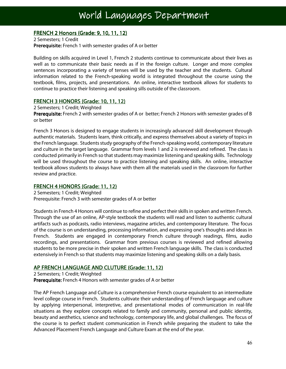#### FRENCH 2 Honors (Grade: 9, 10, 11, 12)

2 Semesters; 1 Credit Prerequisite: French 1 with semester grades of A or better

Building on skills acquired in Level 1, French 2 students continue to communicate about their lives as well as to communicate their basic needs as if in the foreign culture. Longer and more complex sentences incorporating a variety of tenses will be used by the teacher and the students. Cultural information related to the French-speaking world is integrated throughout the course using the textbook, films, projects, and presentations. An online, interactive textbook allows for students to continue to practice their listening and speaking sills outside of the classroom.

#### **FRENCH 3 HONORS (Grade: 10, 11, 12)**

2 Semesters; 1 Credit; Weighted

Prerequisite: French 2 with semester grades of A or better; French 2 Honors with semester grades of B or better

French 3 Honors is designed to engage students in increasingly advanced skill development through authentic materials. Students learn, think critically, and express themselves about a variety of topics in the French language. Students study geography of the French-speaking world, contemporary literature and culture in the target language. Grammar from levels 1 and 2 is reviewed and refined. The class is conducted primarily in French so that students may maximize listening and speaking skills. Technology will be used throughout the course to practice listening and speaking skills. An online, interactive textbook allows students to always have with them all the materials used in the classroom for further review and practice.

#### FRENCH 4 HONORS (Grade: 11, 12)

2 Semesters; 1 Credit; Weighted Prerequisite: French 3 with semester grades of A or better

Students in French 4 Honors will continue to refine and perfect their skills in spoken and written French. Through the use of an online, AP-style textbook the students will read and listen to authentic cultural artifacts such as podcasts, radio interviews, magazine articles, and contemporary literature. The focus of the course is on understanding, processing information, and expressing one's thoughts and ideas in French. Students are engaged in contemporary French culture through readings, films, audio recordings, and presentations. Grammar from previous courses is reviewed and refined allowing students to be more precise in their spoken and written French language skills. The class is conducted extensively in French so that students may maximize listening and speaking skills on a daily basis.

#### AP FRENCH LANGUAGE AND CLUTURE (Grade: 11, 12)

2 Semesters; 1 Credit; Weighted Prerequisite: French 4 Honors with semester grades of A or better

The AP French Language and Culture is a comprehensive French course equivalent to an intermediate level college course in French. Students cultivate their understanding of French language and culture by applying interpersonal, interpretive, and presentational modes of communication in real-life situations as they explore concepts related to family and community, personal and public identity, beauty and aesthetics, science and technology, contemporary life, and global challenges. The focus of the course is to perfect student communication in French while preparing the student to take the Advanced Placement French Language and Culture Exam at the end of the year.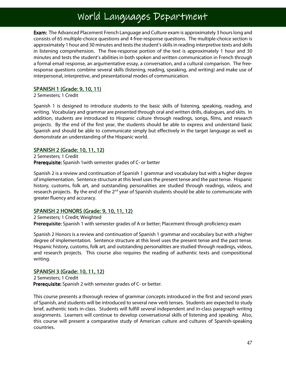### World Languages Department

Exam: The Advanced Placement French Language and Culture exam is approximately 3 hours long and consists of 65 multiple-choice questions and 4 free-response questions. The multiple-choice section is approximately 1 hour and 30 minutes and tests the student's skills in reading interpretive texts and skills in listening comprehension. The free-response portion of the text is approximately 1 hour and 30 minutes and tests the student's abilities in both spoken and written communication in French through a formal email response, an argumentative essay, a conversation, and a cultural comparison. The freeresponse questions combine several skills (listening, reading, speaking, and writing) and make use of interpersonal, interpretive, and presentational modes of communication.

#### SPANISH 1 (Grade: 9, 10, 11)

2 Semesters; 1 Credit

Spanish 1 is designed to introduce students to the basic skills of listening, speaking, reading, and writing. Vocabulary and grammar are presented through oral and written drills, dialogues, and skits. In addition, students are introduced to Hispanic culture through readings, songs, films, and research projects. By the end of the first year, the students should be able to express and understand basic Spanish and should be able to communicate simply but effectively in the target language as well as demonstrate an understanding of the Hispanic world.

#### SPANISH 2 (Grade: 10, 11, 12)

2 Semesters; 1 Credit Prerequisite: Spanish 1 with semester grades of C- or better

Spanish 2 is a review and continuation of Spanish 1 grammar and vocabulary but with a higher degree of implementation. Sentence structure at this level uses the present tense and the past tense. Hispanic history, customs, folk art, and outstanding personalities are studied through readings, videos, and research projects. By the end of the 2<sup>nd</sup> year of Spanish students should be able to communicate with greater fluency and accuracy.

#### SPANISH 2 HONORS (Grade: 9, 10, 11, 12)

2 Semesters; 1 Credit; Weighted

Prerequisite: Spanish 1 with semester grades of A or better; Placement through proficiency exam

Spanish 2 Honors is a review and continuation of Spanish 1 grammar and vocabulary but with a higher degree of implementation. Sentence structure at this level uses the present tense and the past tense. Hispanic history, customs, folk art, and outstanding personalities are studied through readings, videos, and research projects. This course also requires the reading of authentic texts and compositional writing.

#### SPANISH 3 (Grade: 10, 11, 12)

2 Semesters; 1 Credit Prerequisite: Spanish 2 with semester grades of C- or better.

This course presents a thorough review of grammar concepts introduced in the first and second years of Spanish, and students will be introduced to several new verb tenses. Students are expected to study brief, authentic texts in-class. Students will fulfill several independent and in-class paragraph writing assignments. Learners will continue to develop conversational skills of listening and speaking. Also, this course will present a comparative study of American culture and cultures of Spanish-speaking countries.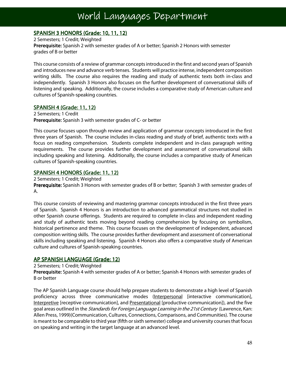### World Languages Department

Ξ

#### SPANISH 3 HONORS (Grade: 10, 11, 12)

2 Semesters; 1 Credit; Weighted Prerequisite: Spanish 2 with semester grades of A or better; Spanish 2 Honors with semester grades of B or better

This course consists of a review of grammar concepts introduced in the first and second years of Spanish and introduces new and advance verb tenses. Students will practice intense, independent composition writing skills. The course also requires the reading and study of authentic texts both in-class and independently. Spanish 3 Honors also focuses on the further development of conversational skills of listening and speaking. Additionally, the course includes a comparative study of American culture and cultures of Spanish-speaking countries.

#### SPANISH 4 (Grade: 11, 12)

2 Semesters; 1 Credit Prerequisite: Spanish 3 with semester grades of C- or better

This course focuses upon through review and application of grammar concepts introduced in the first three years of Spanish. The course includes in-class reading and study of brief, authentic texts with a focus on reading comprehension. Students complete independent and in-class paragraph writing requirements. The course provides further development and assessment of conversational skills including speaking and listening. Additionally, the course includes a comparative study of American cultures of Spanish-speaking countries.

#### SPANISH 4 HONORS (Grade: 11, 12)

2 Semesters; 1 Credit; Weighted Prerequisite: Spanish 3 Honors with semester grades of B or better; Spanish 3 with semester grades of A.

This course consists of reviewing and mastering grammar concepts introduced in the first three years of Spanish. Spanish 4 Honors is an introduction to advanced grammatical structures not studied in other Spanish course offerings. Students are required to complete in-class and independent reading and study of authentic texts moving beyond reading comprehension by focusing on symbolism, historical pertinence and theme. This course focuses on the development of independent, advanced composition writing skills. The course provides further development and assessment of conversational skills including speaking and listening. Spanish 4 Honors also offers a comparative study of American culture and cultures of Spanish-speaking countries.

#### AP SPANISH LANGUAGE (Grade: 12)

2 Semesters; 1 Credit; Weighted

Prerequisite: Spanish 4 with semester grades of A or better; Spanish 4 Honors with semester grades of B or better

The AP Spanish Language course should help prepare students to demonstrate a high level of Spanish proficiency across three communicative modes (Interpersonal [interactive communication], Interpretive [receptive communication], and Presentational [productive communication]), and the five goal areas outlined in the *Standards for Foreign Language Learning in the 21st Century* (Lawrence, Kan: Allen Press, 1999)(Communication, Cultures, Connections, Comparisons, and Communities). The course is meant to be comparable to third year (fifth or sixth semester) college and university courses that focus on speaking and writing in the target language at an advanced level.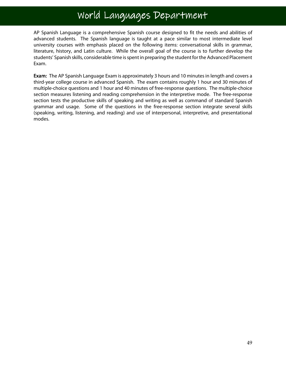### World Languages Department

AP Spanish Language is a comprehensive Spanish course designed to fit the needs and abilities of advanced students. The Spanish language is taught at a pace similar to most intermediate level university courses with emphasis placed on the following items: conversational skills in grammar, literature, history, and Latin culture. While the overall goal of the course is to further develop the students' Spanish skills, considerable time is spent in preparing the student for the Advanced Placement Exam.

Exam: The AP Spanish Language Exam is approximately 3 hours and 10 minutes in length and covers a third-year college course in advanced Spanish. The exam contains roughly 1 hour and 30 minutes of multiple-choice questions and 1 hour and 40 minutes of free-response questions. The multiple-choice section measures listening and reading comprehension in the interpretive mode. The free-response section tests the productive skills of speaking and writing as well as command of standard Spanish grammar and usage. Some of the questions in the free-response section integrate several skills (speaking, writing, listening, and reading) and use of interpersonal, interpretive, and presentational modes.